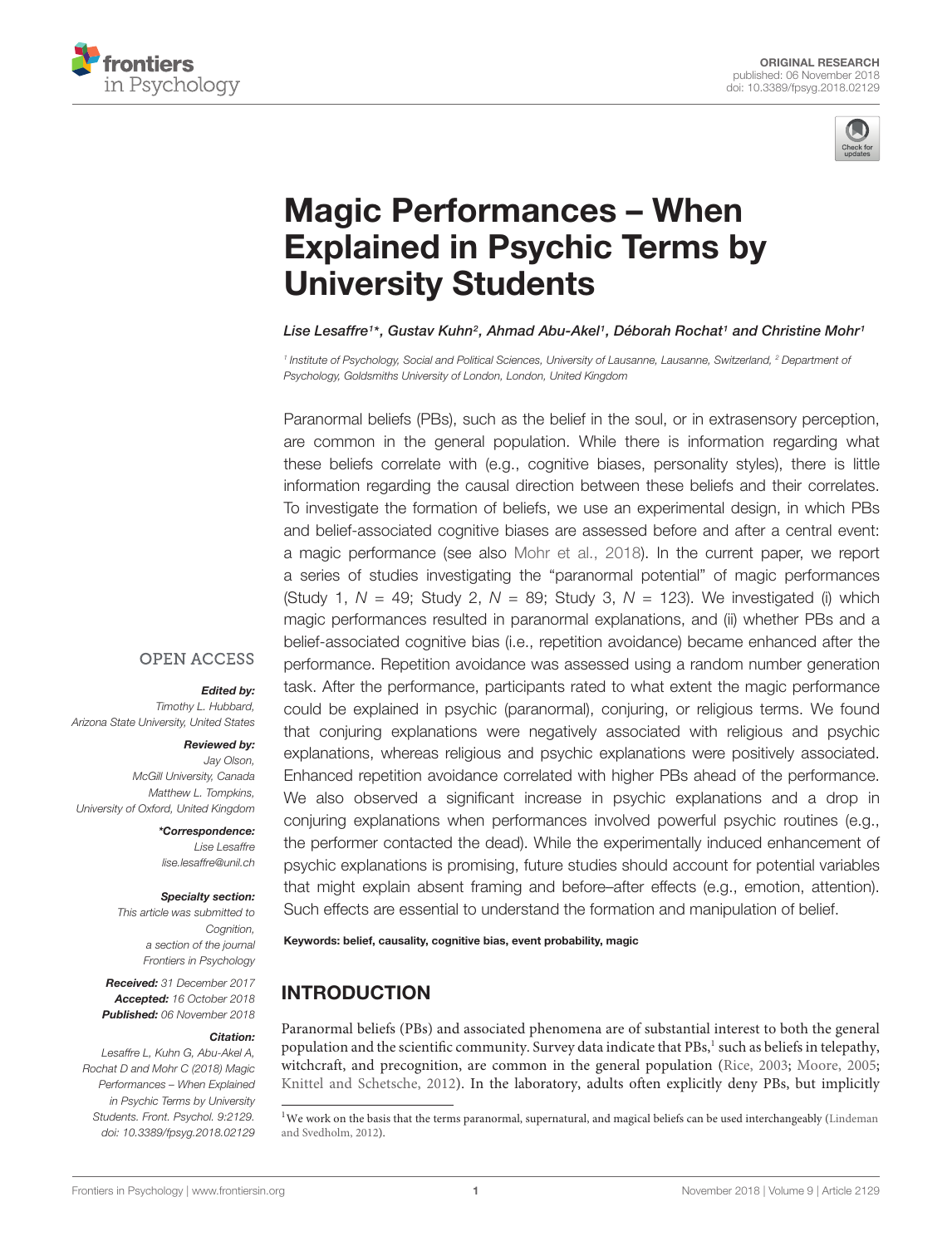



# Magic Performances – When [Explained in Psychic Terms by](https://www.frontiersin.org/articles/10.3389/fpsyg.2018.02129/full) University Students

### [Lise Lesaffre](http://loop.frontiersin.org/people/505314/overview)1\*, [Gustav Kuhn](http://loop.frontiersin.org/people/10237/overview)², [Ahmad Abu-Akel](http://loop.frontiersin.org/people/39831/overview)1, [Déborah Rochat](http://loop.frontiersin.org/people/511259/overview)1 and [Christine Mohr](http://loop.frontiersin.org/people/8254/overview)1

<sup>1</sup> Institute of Psychology, Social and Political Sciences, University of Lausanne, Lausanne, Switzerland, <sup>2</sup> Department oi Psychology, Goldsmiths University of London, London, United Kingdom

Paranormal beliefs (PBs), such as the belief in the soul, or in extrasensory perception, are common in the general population. While there is information regarding what these beliefs correlate with (e.g., cognitive biases, personality styles), there is little information regarding the causal direction between these beliefs and their correlates. To investigate the formation of beliefs, we use an experimental design, in which PBs and belief-associated cognitive biases are assessed before and after a central event: a magic performance (see also [Mohr et al.,](#page-10-0) [2018\)](#page-10-0). In the current paper, we report a series of studies investigating the "paranormal potential" of magic performances (Study 1,  $N = 49$ ; Study 2,  $N = 89$ ; Study 3,  $N = 123$ ). We investigated (i) which magic performances resulted in paranormal explanations, and (ii) whether PBs and a belief-associated cognitive bias (i.e., repetition avoidance) became enhanced after the performance. Repetition avoidance was assessed using a random number generation task. After the performance, participants rated to what extent the magic performance could be explained in psychic (paranormal), conjuring, or religious terms. We found that conjuring explanations were negatively associated with religious and psychic explanations, whereas religious and psychic explanations were positively associated. Enhanced repetition avoidance correlated with higher PBs ahead of the performance. We also observed a significant increase in psychic explanations and a drop in conjuring explanations when performances involved powerful psychic routines (e.g., the performer contacted the dead). While the experimentally induced enhancement of psychic explanations is promising, future studies should account for potential variables that might explain absent framing and before–after effects (e.g., emotion, attention). Such effects are essential to understand the formation and manipulation of belief.

Keywords: belief, causality, cognitive bias, event probability, magic

# INTRODUCTION

Paranormal beliefs (PBs) and associated phenomena are of substantial interest to both the general population and the scientific community. Survey data indicate that PBs,<sup>[1](#page-0-0)</sup> such as beliefs in telepathy, witchcraft, and precognition, are common in the general population [\(Rice,](#page-10-1) [2003;](#page-10-1) [Moore,](#page-10-2) [2005;](#page-10-2) [Knittel and Schetsche,](#page-9-0) [2012\)](#page-9-0). In the laboratory, adults often explicitly deny PBs, but implicitly

# **OPEN ACCESS**

### Edited by:

Timothy L. Hubbard, Arizona State University, United States

#### Reviewed by:

Jay Olson, McGill University, Canada Matthew L. Tompkins, University of Oxford, United Kingdom

> \*Correspondence: Lise Lesaffre lise.lesaffre@unil.ch

### Specialty section:

This article was submitted to Cognition, a section of the journal Frontiers in Psychology

Received: 31 December 2017 Accepted: 16 October 2018 Published: 06 November 2018

#### Citation:

Lesaffre L, Kuhn G, Abu-Akel A, Rochat D and Mohr C (2018) Magic Performances – When Explained in Psychic Terms by University Students. Front. Psychol. 9:2129. doi: [10.3389/fpsyg.2018.02129](https://doi.org/10.3389/fpsyg.2018.02129)

<span id="page-0-0"></span><sup>1</sup>We work on the basis that the terms paranormal, supernatural, and magical belie[fs can be used interchangeably \(](#page-10-3)Lindeman [and Svedholm,](#page-10-3) [2012\)](#page-10-3).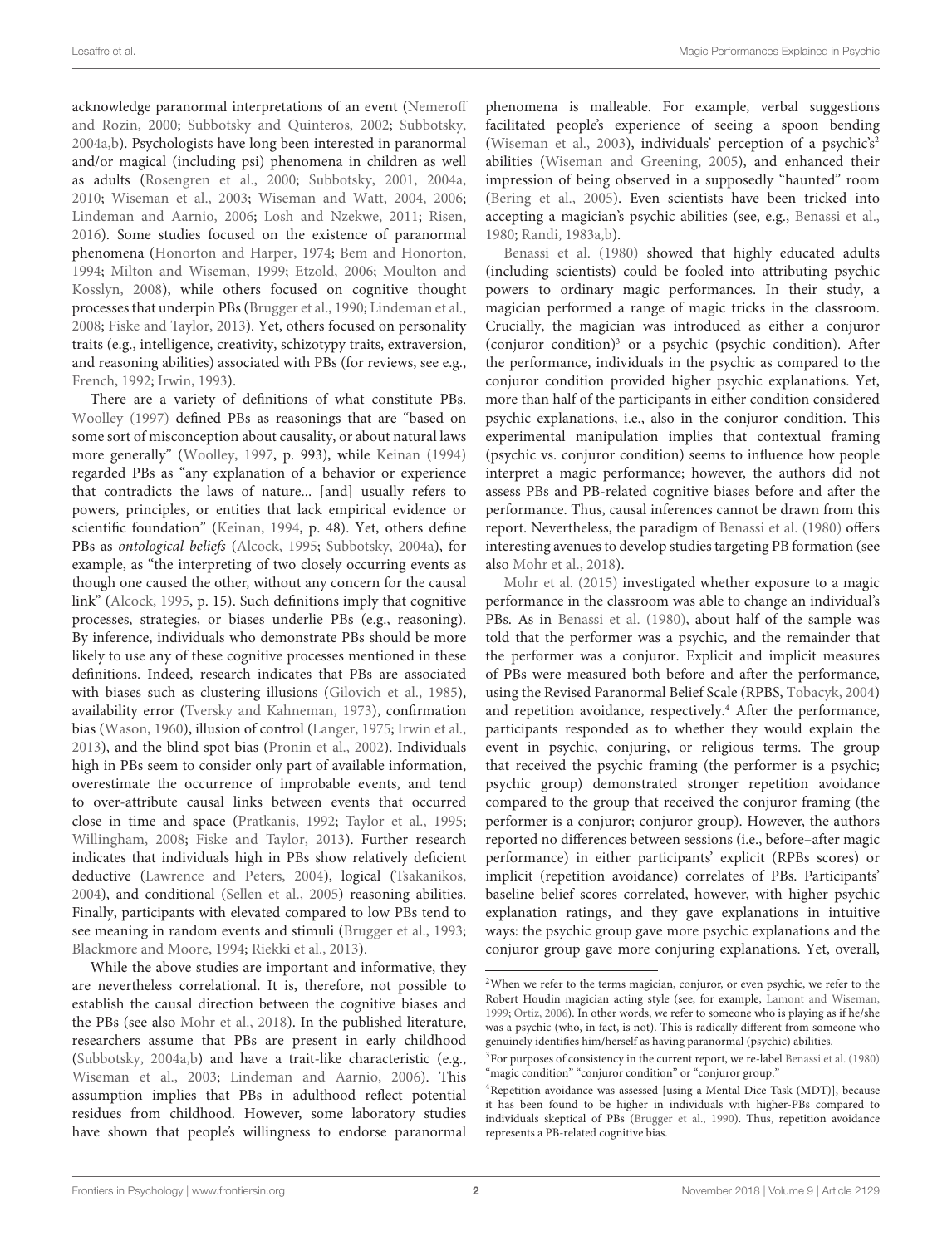acknowledge paranormal interpretations of an event [\(Nemeroff](#page-10-4) [and Rozin,](#page-10-4) [2000;](#page-10-4) [Subbotsky and Quinteros,](#page-10-5) [2002;](#page-10-5) [Subbotsky,](#page-10-6) [2004a,](#page-10-6)[b\)](#page-10-7). Psychologists have long been interested in paranormal and/or magical (including psi) phenomena in children as well as adults [\(Rosengren et al.,](#page-10-8) [2000;](#page-10-8) [Subbotsky,](#page-10-9) [2001,](#page-10-9) [2004a,](#page-10-6) [2010;](#page-10-10) [Wiseman et al.,](#page-11-0) [2003;](#page-11-0) [Wiseman and Watt,](#page-11-1) [2004,](#page-11-1) [2006;](#page-11-2) [Lindeman and Aarnio,](#page-10-11) [2006;](#page-10-11) [Losh and Nzekwe,](#page-10-12) [2011;](#page-10-12) [Risen,](#page-10-13) [2016\)](#page-10-13). Some studies focused on the existence of paranormal phenomena [\(Honorton and Harper,](#page-9-1) [1974;](#page-9-1) [Bem and Honorton,](#page-9-2) [1994;](#page-9-2) [Milton and Wiseman,](#page-10-14) [1999;](#page-10-14) [Etzold,](#page-9-3) [2006;](#page-9-3) [Moulton and](#page-10-15) [Kosslyn,](#page-10-15) [2008\)](#page-10-15), while others focused on cognitive thought processes that underpin PBs [\(Brugger et al.,](#page-9-4) [1990;](#page-9-4) [Lindeman et al.,](#page-10-16) [2008;](#page-10-16) [Fiske and Taylor,](#page-9-5) [2013\)](#page-9-5). Yet, others focused on personality traits (e.g., intelligence, creativity, schizotypy traits, extraversion, and reasoning abilities) associated with PBs (for reviews, see e.g., [French,](#page-9-6) [1992;](#page-9-6) [Irwin,](#page-9-7) [1993\)](#page-9-7).

There are a variety of definitions of what constitute PBs. [Woolley](#page-11-3) [\(1997\)](#page-11-3) defined PBs as reasonings that are "based on some sort of misconception about causality, or about natural laws more generally" [\(Woolley,](#page-11-3) [1997,](#page-11-3) p. 993), while [Keinan](#page-9-8) [\(1994\)](#page-9-8) regarded PBs as "any explanation of a behavior or experience that contradicts the laws of nature... [and] usually refers to powers, principles, or entities that lack empirical evidence or scientific foundation" [\(Keinan,](#page-9-8) [1994,](#page-9-8) p. 48). Yet, others define PBs as ontological beliefs [\(Alcock,](#page-9-9) [1995;](#page-9-9) [Subbotsky,](#page-10-6) [2004a\)](#page-10-6), for example, as "the interpreting of two closely occurring events as though one caused the other, without any concern for the causal link" [\(Alcock,](#page-9-9) [1995,](#page-9-9) p. 15). Such definitions imply that cognitive processes, strategies, or biases underlie PBs (e.g., reasoning). By inference, individuals who demonstrate PBs should be more likely to use any of these cognitive processes mentioned in these definitions. Indeed, research indicates that PBs are associated with biases such as clustering illusions [\(Gilovich et al.,](#page-9-10) [1985\)](#page-9-10), availability error [\(Tversky and Kahneman,](#page-10-17) [1973\)](#page-10-17), confirmation bias [\(Wason,](#page-10-18) [1960\)](#page-10-18), illusion of control [\(Langer,](#page-10-19) [1975;](#page-10-19) [Irwin et al.,](#page-9-11) [2013\)](#page-9-11), and the blind spot bias [\(Pronin et al.,](#page-10-20) [2002\)](#page-10-20). Individuals high in PBs seem to consider only part of available information, overestimate the occurrence of improbable events, and tend to over-attribute causal links between events that occurred close in time and space [\(Pratkanis,](#page-10-21) [1992;](#page-10-21) [Taylor et al.,](#page-10-22) [1995;](#page-10-22) [Willingham,](#page-11-4) [2008;](#page-11-4) [Fiske and Taylor,](#page-9-5) [2013\)](#page-9-5). Further research indicates that individuals high in PBs show relatively deficient deductive [\(Lawrence and Peters,](#page-10-23) [2004\)](#page-10-23), logical [\(Tsakanikos,](#page-10-24) [2004\)](#page-10-24), and conditional [\(Sellen et al.,](#page-10-25) [2005\)](#page-10-25) reasoning abilities. Finally, participants with elevated compared to low PBs tend to see meaning in random events and stimuli [\(Brugger et al.,](#page-9-12) [1993;](#page-9-12) [Blackmore and Moore,](#page-9-13) [1994;](#page-9-13) [Riekki et al.,](#page-10-26) [2013\)](#page-10-26).

While the above studies are important and informative, they are nevertheless correlational. It is, therefore, not possible to establish the causal direction between the cognitive biases and the PBs (see also [Mohr et al.,](#page-10-0) [2018\)](#page-10-0). In the published literature, researchers assume that PBs are present in early childhood [\(Subbotsky,](#page-10-6) [2004a,](#page-10-6)[b\)](#page-10-7) and have a trait-like characteristic (e.g., [Wiseman et al.,](#page-11-0) [2003;](#page-11-0) [Lindeman and Aarnio,](#page-10-11) [2006\)](#page-10-11). This assumption implies that PBs in adulthood reflect potential residues from childhood. However, some laboratory studies have shown that people's willingness to endorse paranormal

phenomena is malleable. For example, verbal suggestions facilitated people's experience of seeing a spoon bending [\(Wiseman et al.,](#page-11-0) [2003\)](#page-11-0), individuals' perception of a psychic's<sup>[2](#page-1-0)</sup> abilities [\(Wiseman and Greening,](#page-11-5) [2005\)](#page-11-5), and enhanced their impression of being observed in a supposedly "haunted" room [\(Bering et al.,](#page-9-14) [2005\)](#page-9-14). Even scientists have been tricked into accepting a magician's psychic abilities (see, e.g., [Benassi et al.,](#page-9-15) [1980;](#page-9-15) [Randi,](#page-10-27) [1983a](#page-10-27)[,b\)](#page-10-28).

[Benassi et al.](#page-9-15) [\(1980\)](#page-9-15) showed that highly educated adults (including scientists) could be fooled into attributing psychic powers to ordinary magic performances. In their study, a magician performed a range of magic tricks in the classroom. Crucially, the magician was introduced as either a conjuror (conjuror condition)[3](#page-1-1) or a psychic (psychic condition). After the performance, individuals in the psychic as compared to the conjuror condition provided higher psychic explanations. Yet, more than half of the participants in either condition considered psychic explanations, i.e., also in the conjuror condition. This experimental manipulation implies that contextual framing (psychic vs. conjuror condition) seems to influence how people interpret a magic performance; however, the authors did not assess PBs and PB-related cognitive biases before and after the performance. Thus, causal inferences cannot be drawn from this report. Nevertheless, the paradigm of [Benassi et al.](#page-9-15) [\(1980\)](#page-9-15) offers interesting avenues to develop studies targeting PB formation (see also [Mohr et al.,](#page-10-0) [2018\)](#page-10-0).

[Mohr et al.](#page-10-29) [\(2015\)](#page-10-29) investigated whether exposure to a magic performance in the classroom was able to change an individual's PBs. As in [Benassi et al.](#page-9-15) [\(1980\)](#page-9-15), about half of the sample was told that the performer was a psychic, and the remainder that the performer was a conjuror. Explicit and implicit measures of PBs were measured both before and after the performance, using the Revised Paranormal Belief Scale (RPBS, [Tobacyk,](#page-10-30) [2004\)](#page-10-30) and repetition avoidance, respectively.<sup>[4](#page-1-2)</sup> After the performance, participants responded as to whether they would explain the event in psychic, conjuring, or religious terms. The group that received the psychic framing (the performer is a psychic; psychic group) demonstrated stronger repetition avoidance compared to the group that received the conjuror framing (the performer is a conjuror; conjuror group). However, the authors reported no differences between sessions (i.e., before–after magic performance) in either participants' explicit (RPBs scores) or implicit (repetition avoidance) correlates of PBs. Participants' baseline belief scores correlated, however, with higher psychic explanation ratings, and they gave explanations in intuitive ways: the psychic group gave more psychic explanations and the conjuror group gave more conjuring explanations. Yet, overall,

<span id="page-1-0"></span><sup>&</sup>lt;sup>2</sup>When we refer to the terms magician, conjuror, or even psychic, we refer to the Robert Houdin magician acting style (see, for example, [Lamont and Wiseman,](#page-10-31) [1999;](#page-10-31) [Ortiz,](#page-10-32) [2006\)](#page-10-32). In other words, we refer to someone who is playing as if he/she was a psychic (who, in fact, is not). This is radically different from someone who genuinely identifies him/herself as having paranormal (psychic) abilities.

<span id="page-1-1"></span><sup>3</sup>For purposes of consistency in the current report, we re-label [Benassi et al.](#page-9-15) [\(1980\)](#page-9-15) "magic condition" "conjuror condition" or "conjuror group."

<span id="page-1-2"></span><sup>4</sup>Repetition avoidance was assessed [using a Mental Dice Task (MDT)], because it has been found to be higher in individuals with higher-PBs compared to individuals skeptical of PBs [\(Brugger et al.,](#page-9-4) [1990\)](#page-9-4). Thus, repetition avoidance represents a PB-related cognitive bias.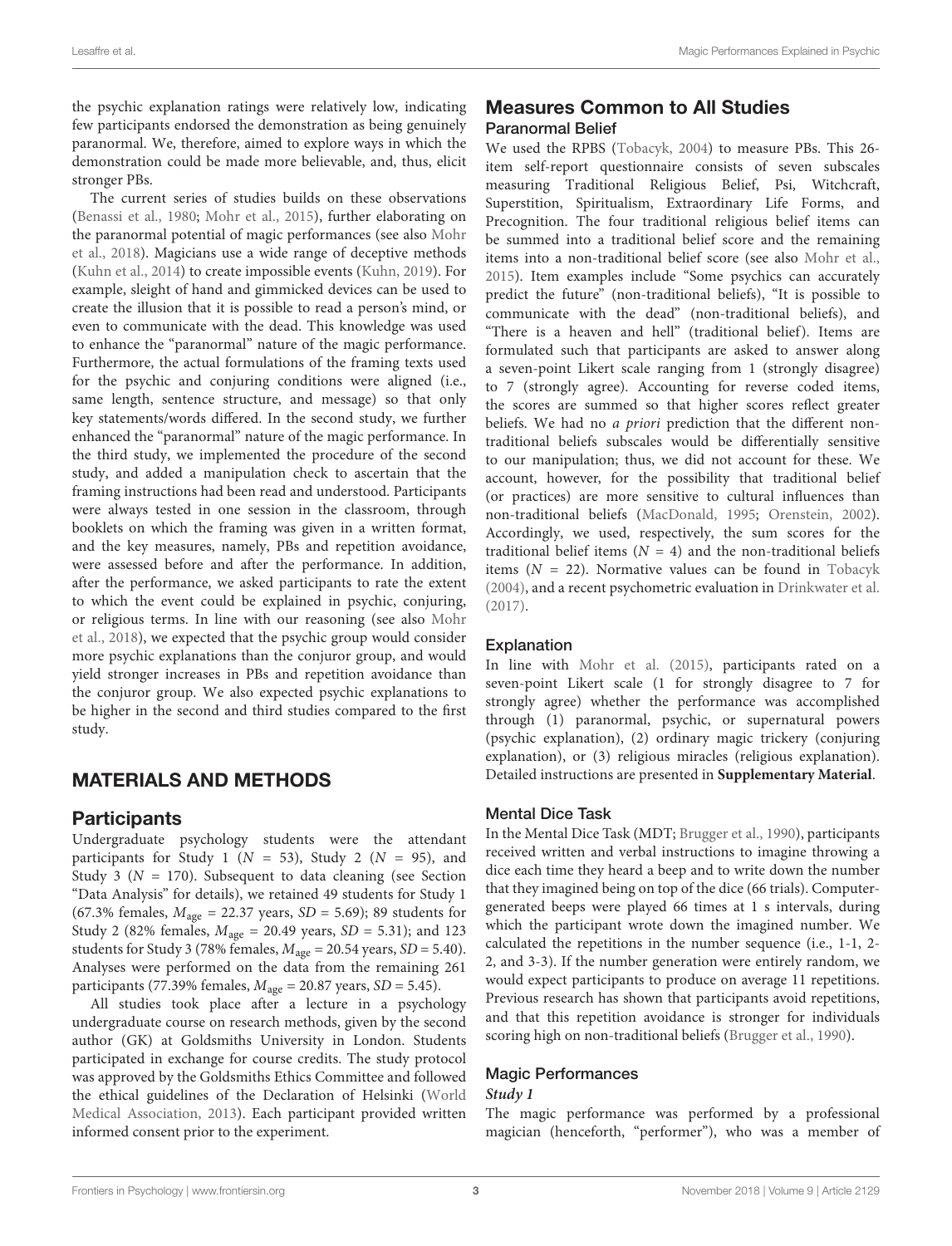the psychic explanation ratings were relatively low, indicating few participants endorsed the demonstration as being genuinely paranormal. We, therefore, aimed to explore ways in which the demonstration could be made more believable, and, thus, elicit stronger PBs.

The current series of studies builds on these observations [\(Benassi et al.,](#page-9-15) [1980;](#page-9-15) [Mohr et al.,](#page-10-29) [2015\)](#page-10-29), further elaborating on the paranormal potential of magic performances (see also [Mohr](#page-10-0) [et al.,](#page-10-0) [2018\)](#page-10-0). Magicians use a wide range of deceptive methods [\(Kuhn et al.,](#page-10-33) [2014\)](#page-10-33) to create impossible events [\(Kuhn,](#page-10-34) [2019\)](#page-10-34). For example, sleight of hand and gimmicked devices can be used to create the illusion that it is possible to read a person's mind, or even to communicate with the dead. This knowledge was used to enhance the "paranormal" nature of the magic performance. Furthermore, the actual formulations of the framing texts used for the psychic and conjuring conditions were aligned (i.e., same length, sentence structure, and message) so that only key statements/words differed. In the second study, we further enhanced the "paranormal" nature of the magic performance. In the third study, we implemented the procedure of the second study, and added a manipulation check to ascertain that the framing instructions had been read and understood. Participants were always tested in one session in the classroom, through booklets on which the framing was given in a written format, and the key measures, namely, PBs and repetition avoidance, were assessed before and after the performance. In addition, after the performance, we asked participants to rate the extent to which the event could be explained in psychic, conjuring, or religious terms. In line with our reasoning (see also [Mohr](#page-10-0) [et al.,](#page-10-0) [2018\)](#page-10-0), we expected that the psychic group would consider more psychic explanations than the conjuror group, and would yield stronger increases in PBs and repetition avoidance than the conjuror group. We also expected psychic explanations to be higher in the second and third studies compared to the first study.

# MATERIALS AND METHODS

### **Participants**

Undergraduate psychology students were the attendant participants for Study 1 ( $N = 53$ ), Study 2 ( $N = 95$ ), and Study 3 ( $N = 170$ ). Subsequent to data cleaning (see Section "Data Analysis" for details), we retained 49 students for Study 1 (67.3% females,  $M_{\text{age}} = 22.37$  years,  $SD = 5.69$ ); 89 students for Study 2 (82% females,  $M_{\text{age}} = 20.49$  years,  $SD = 5.31$ ); and 123 students for Study 3 (78% females,  $M_{\text{age}} = 20.54$  years,  $SD = 5.40$ ). Analyses were performed on the data from the remaining 261 participants (77.39% females,  $M_{\text{age}} = 20.87$  years,  $SD = 5.45$ ).

All studies took place after a lecture in a psychology undergraduate course on research methods, given by the second author (GK) at Goldsmiths University in London. Students participated in exchange for course credits. The study protocol was approved by the Goldsmiths Ethics Committee and followed the ethical guidelines of the Declaration of Helsinki [\(World](#page-11-6) [Medical Association,](#page-11-6) [2013\)](#page-11-6). Each participant provided written informed consent prior to the experiment.

# Measures Common to All Studies Paranormal Belief

We used the RPBS [\(Tobacyk,](#page-10-30) [2004\)](#page-10-30) to measure PBs. This 26 item self-report questionnaire consists of seven subscales measuring Traditional Religious Belief, Psi, Witchcraft, Superstition, Spiritualism, Extraordinary Life Forms, and Precognition. The four traditional religious belief items can be summed into a traditional belief score and the remaining items into a non-traditional belief score (see also [Mohr et al.,](#page-10-29) [2015\)](#page-10-29). Item examples include "Some psychics can accurately predict the future" (non-traditional beliefs), "It is possible to communicate with the dead" (non-traditional beliefs), and "There is a heaven and hell" (traditional belief). Items are formulated such that participants are asked to answer along a seven-point Likert scale ranging from 1 (strongly disagree) to 7 (strongly agree). Accounting for reverse coded items, the scores are summed so that higher scores reflect greater beliefs. We had no *a priori* prediction that the different nontraditional beliefs subscales would be differentially sensitive to our manipulation; thus, we did not account for these. We account, however, for the possibility that traditional belief (or practices) are more sensitive to cultural influences than non-traditional beliefs [\(MacDonald,](#page-10-35) [1995;](#page-10-35) [Orenstein,](#page-10-36) [2002\)](#page-10-36). Accordingly, we used, respectively, the sum scores for the traditional belief items  $(N = 4)$  and the non-traditional beliefs items ( $N = 22$ ). Normative values can be found in [Tobacyk](#page-10-30) [\(2004\)](#page-10-30), and a recent psychometric evaluation in [Drinkwater et al.](#page-9-16) [\(2017\)](#page-9-16).

### Explanation

In line with [Mohr et al.](#page-10-29) [\(2015\)](#page-10-29), participants rated on a seven-point Likert scale (1 for strongly disagree to 7 for strongly agree) whether the performance was accomplished through (1) paranormal, psychic, or supernatural powers (psychic explanation), (2) ordinary magic trickery (conjuring explanation), or (3) religious miracles (religious explanation). Detailed instructions are presented in **[Supplementary Material](#page-9-17)**.

### Mental Dice Task

In the Mental Dice Task (MDT; [Brugger et al.,](#page-9-4) [1990\)](#page-9-4), participants received written and verbal instructions to imagine throwing a dice each time they heard a beep and to write down the number that they imagined being on top of the dice (66 trials). Computergenerated beeps were played 66 times at 1 s intervals, during which the participant wrote down the imagined number. We calculated the repetitions in the number sequence (i.e., 1-1, 2- 2, and 3-3). If the number generation were entirely random, we would expect participants to produce on average 11 repetitions. Previous research has shown that participants avoid repetitions, and that this repetition avoidance is stronger for individuals scoring high on non-traditional beliefs [\(Brugger et al.,](#page-9-4) [1990\)](#page-9-4).

### Magic Performances

### **Study 1**

The magic performance was performed by a professional magician (henceforth, "performer"), who was a member of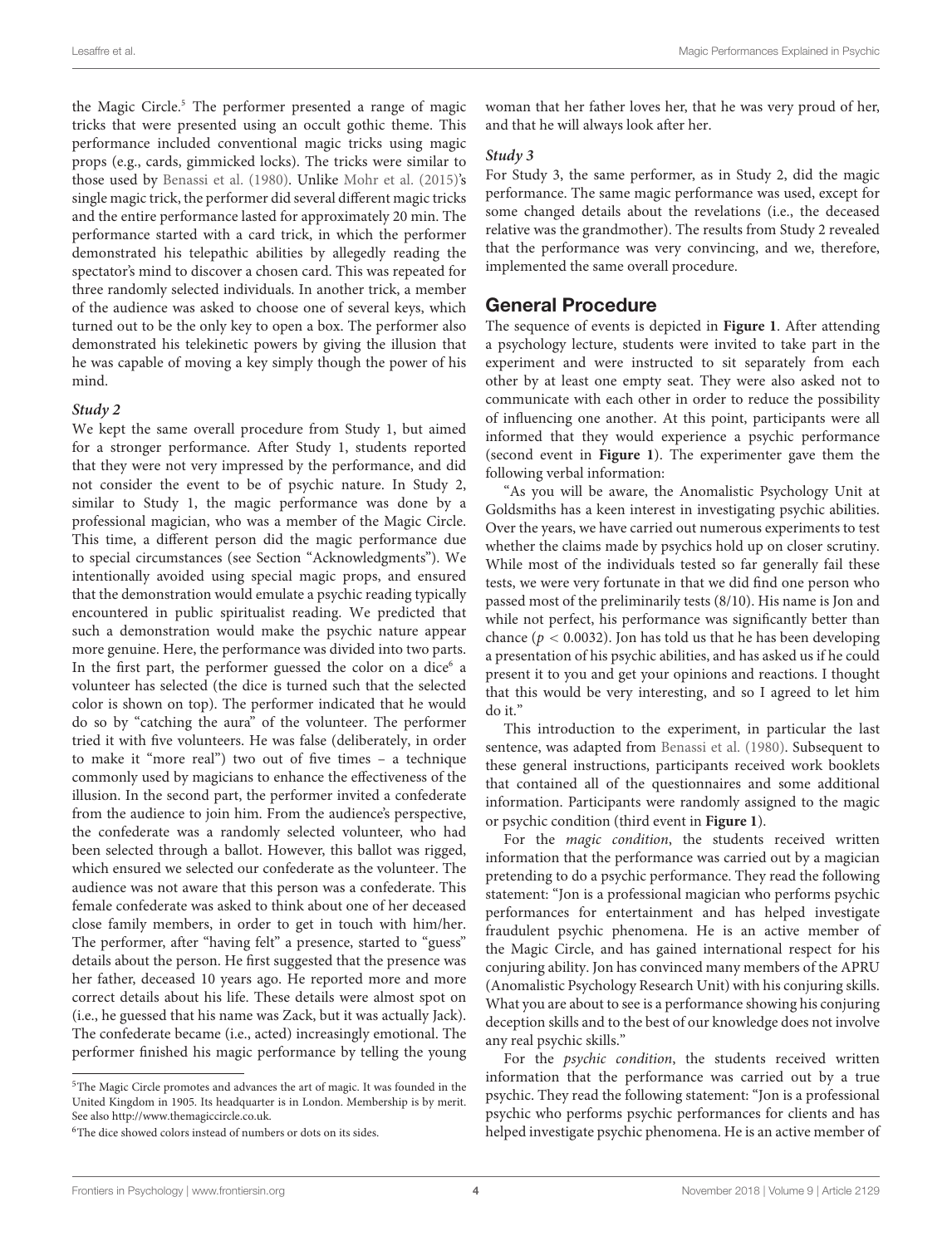the Magic Circle.<sup>[5](#page-3-0)</sup> The performer presented a range of magic tricks that were presented using an occult gothic theme. This performance included conventional magic tricks using magic props (e.g., cards, gimmicked locks). The tricks were similar to those used by [Benassi et al.](#page-9-15) [\(1980\)](#page-9-15). Unlike [Mohr et al.](#page-10-29) [\(2015\)](#page-10-29)'s single magic trick, the performer did several different magic tricks and the entire performance lasted for approximately 20 min. The performance started with a card trick, in which the performer demonstrated his telepathic abilities by allegedly reading the spectator's mind to discover a chosen card. This was repeated for three randomly selected individuals. In another trick, a member of the audience was asked to choose one of several keys, which turned out to be the only key to open a box. The performer also demonstrated his telekinetic powers by giving the illusion that he was capable of moving a key simply though the power of his mind.

### **Study 2**

We kept the same overall procedure from Study 1, but aimed for a stronger performance. After Study 1, students reported that they were not very impressed by the performance, and did not consider the event to be of psychic nature. In Study 2, similar to Study 1, the magic performance was done by a professional magician, who was a member of the Magic Circle. This time, a different person did the magic performance due to special circumstances (see Section "Acknowledgments"). We intentionally avoided using special magic props, and ensured that the demonstration would emulate a psychic reading typically encountered in public spiritualist reading. We predicted that such a demonstration would make the psychic nature appear more genuine. Here, the performance was divided into two parts. In the first part, the performer guessed the color on a dice<sup>[6](#page-3-1)</sup> a volunteer has selected (the dice is turned such that the selected color is shown on top). The performer indicated that he would do so by "catching the aura" of the volunteer. The performer tried it with five volunteers. He was false (deliberately, in order to make it "more real") two out of five times – a technique commonly used by magicians to enhance the effectiveness of the illusion. In the second part, the performer invited a confederate from the audience to join him. From the audience's perspective, the confederate was a randomly selected volunteer, who had been selected through a ballot. However, this ballot was rigged, which ensured we selected our confederate as the volunteer. The audience was not aware that this person was a confederate. This female confederate was asked to think about one of her deceased close family members, in order to get in touch with him/her. The performer, after "having felt" a presence, started to "guess" details about the person. He first suggested that the presence was her father, deceased 10 years ago. He reported more and more correct details about his life. These details were almost spot on (i.e., he guessed that his name was Zack, but it was actually Jack). The confederate became (i.e., acted) increasingly emotional. The performer finished his magic performance by telling the young

<span id="page-3-0"></span><sup>5</sup>The Magic Circle promotes and advances the art of magic. It was founded in the United Kingdom in 1905. Its headquarter is in London. Membership is by merit. See also [http://www.themagiccircle.co.uk.](http://www.themagiccircle.co.uk)

woman that her father loves her, that he was very proud of her, and that he will always look after her.

### **Study 3**

For Study 3, the same performer, as in Study 2, did the magic performance. The same magic performance was used, except for some changed details about the revelations (i.e., the deceased relative was the grandmother). The results from Study 2 revealed that the performance was very convincing, and we, therefore, implemented the same overall procedure.

# General Procedure

The sequence of events is depicted in **[Figure 1](#page-4-0)**. After attending a psychology lecture, students were invited to take part in the experiment and were instructed to sit separately from each other by at least one empty seat. They were also asked not to communicate with each other in order to reduce the possibility of influencing one another. At this point, participants were all informed that they would experience a psychic performance (second event in **[Figure 1](#page-4-0)**). The experimenter gave them the following verbal information:

"As you will be aware, the Anomalistic Psychology Unit at Goldsmiths has a keen interest in investigating psychic abilities. Over the years, we have carried out numerous experiments to test whether the claims made by psychics hold up on closer scrutiny. While most of the individuals tested so far generally fail these tests, we were very fortunate in that we did find one person who passed most of the preliminarily tests (8/10). His name is Jon and while not perfect, his performance was significantly better than chance ( $p < 0.0032$ ). Jon has told us that he has been developing a presentation of his psychic abilities, and has asked us if he could present it to you and get your opinions and reactions. I thought that this would be very interesting, and so I agreed to let him do it."

This introduction to the experiment, in particular the last sentence, was adapted from [Benassi et al.](#page-9-15) [\(1980\)](#page-9-15). Subsequent to these general instructions, participants received work booklets that contained all of the questionnaires and some additional information. Participants were randomly assigned to the magic or psychic condition (third event in **[Figure 1](#page-4-0)**).

For the magic condition, the students received written information that the performance was carried out by a magician pretending to do a psychic performance. They read the following statement: "Jon is a professional magician who performs psychic performances for entertainment and has helped investigate fraudulent psychic phenomena. He is an active member of the Magic Circle, and has gained international respect for his conjuring ability. Jon has convinced many members of the APRU (Anomalistic Psychology Research Unit) with his conjuring skills. What you are about to see is a performance showing his conjuring deception skills and to the best of our knowledge does not involve any real psychic skills."

For the psychic condition, the students received written information that the performance was carried out by a true psychic. They read the following statement: "Jon is a professional psychic who performs psychic performances for clients and has helped investigate psychic phenomena. He is an active member of

<span id="page-3-1"></span><sup>&</sup>lt;sup>6</sup>The dice showed colors instead of numbers or dots on its sides.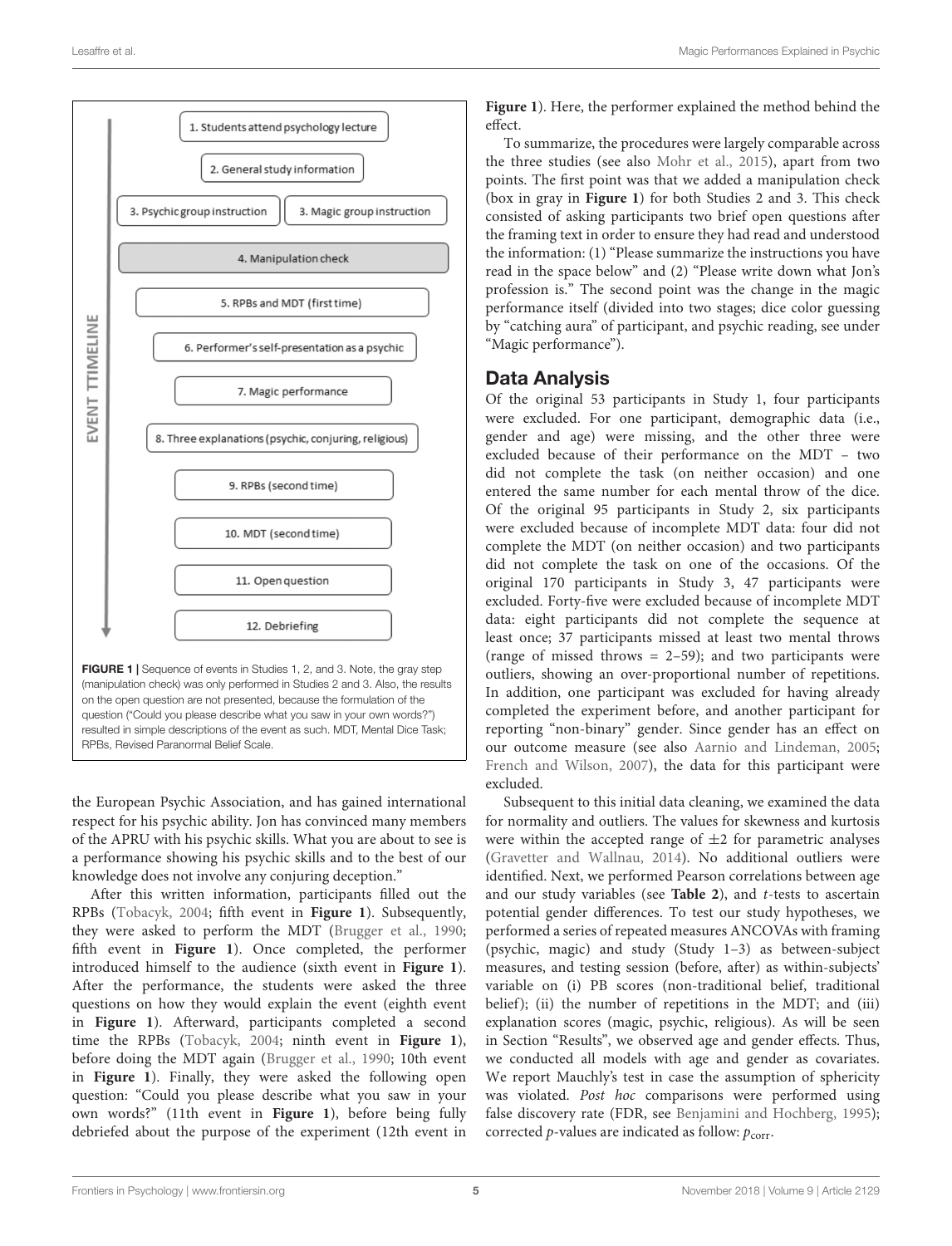



<span id="page-4-0"></span>the European Psychic Association, and has gained international respect for his psychic ability. Jon has convinced many members of the APRU with his psychic skills. What you are about to see is a performance showing his psychic skills and to the best of our knowledge does not involve any conjuring deception."

After this written information, participants filled out the RPBs [\(Tobacyk,](#page-10-30) [2004;](#page-10-30) fifth event in **[Figure 1](#page-4-0)**). Subsequently, they were asked to perform the MDT [\(Brugger et al.,](#page-9-4) [1990;](#page-9-4) fifth event in **[Figure 1](#page-4-0)**). Once completed, the performer introduced himself to the audience (sixth event in **[Figure 1](#page-4-0)**). After the performance, the students were asked the three questions on how they would explain the event (eighth event in **[Figure 1](#page-4-0)**). Afterward, participants completed a second time the RPBs [\(Tobacyk,](#page-10-30) [2004;](#page-10-30) ninth event in **[Figure 1](#page-4-0)**), before doing the MDT again [\(Brugger et al.,](#page-9-4) [1990;](#page-9-4) 10th event in **[Figure 1](#page-4-0)**). Finally, they were asked the following open question: "Could you please describe what you saw in your own words?" (11th event in **[Figure 1](#page-4-0)**), before being fully debriefed about the purpose of the experiment (12th event in

**[Figure 1](#page-4-0)**). Here, the performer explained the method behind the effect.

To summarize, the procedures were largely comparable across the three studies (see also [Mohr et al.,](#page-10-29) [2015\)](#page-10-29), apart from two points. The first point was that we added a manipulation check (box in gray in **[Figure 1](#page-4-0)**) for both Studies 2 and 3. This check consisted of asking participants two brief open questions after the framing text in order to ensure they had read and understood the information: (1) "Please summarize the instructions you have read in the space below" and (2) "Please write down what Jon's profession is." The second point was the change in the magic performance itself (divided into two stages; dice color guessing by "catching aura" of participant, and psychic reading, see under "Magic performance").

# Data Analysis

Of the original 53 participants in Study 1, four participants were excluded. For one participant, demographic data (i.e., gender and age) were missing, and the other three were excluded because of their performance on the MDT – two did not complete the task (on neither occasion) and one entered the same number for each mental throw of the dice. Of the original 95 participants in Study 2, six participants were excluded because of incomplete MDT data: four did not complete the MDT (on neither occasion) and two participants did not complete the task on one of the occasions. Of the original 170 participants in Study 3, 47 participants were excluded. Forty-five were excluded because of incomplete MDT data: eight participants did not complete the sequence at least once; 37 participants missed at least two mental throws (range of missed throws  $= 2-59$ ); and two participants were outliers, showing an over-proportional number of repetitions. In addition, one participant was excluded for having already completed the experiment before, and another participant for reporting "non-binary" gender. Since gender has an effect on our outcome measure (see also [Aarnio and Lindeman,](#page-9-18) [2005;](#page-9-18) [French and Wilson,](#page-9-19) [2007\)](#page-9-19), the data for this participant were excluded.

Subsequent to this initial data cleaning, we examined the data for normality and outliers. The values for skewness and kurtosis were within the accepted range of  $\pm 2$  for parametric analyses [\(Gravetter and Wallnau,](#page-9-20) [2014\)](#page-9-20). No additional outliers were identified. Next, we performed Pearson correlations between age and our study variables (see **[Table 2](#page-6-0)**), and t-tests to ascertain potential gender differences. To test our study hypotheses, we performed a series of repeated measures ANCOVAs with framing (psychic, magic) and study (Study 1–3) as between-subject measures, and testing session (before, after) as within-subjects' variable on (i) PB scores (non-traditional belief, traditional belief); (ii) the number of repetitions in the MDT; and (iii) explanation scores (magic, psychic, religious). As will be seen in Section "Results", we observed age and gender effects. Thus, we conducted all models with age and gender as covariates. We report Mauchly's test in case the assumption of sphericity was violated. Post hoc comparisons were performed using false discovery rate (FDR, see [Benjamini and Hochberg,](#page-9-21) [1995\)](#page-9-21); corrected  $p$ -values are indicated as follow:  $p_{\text{corr}}$ .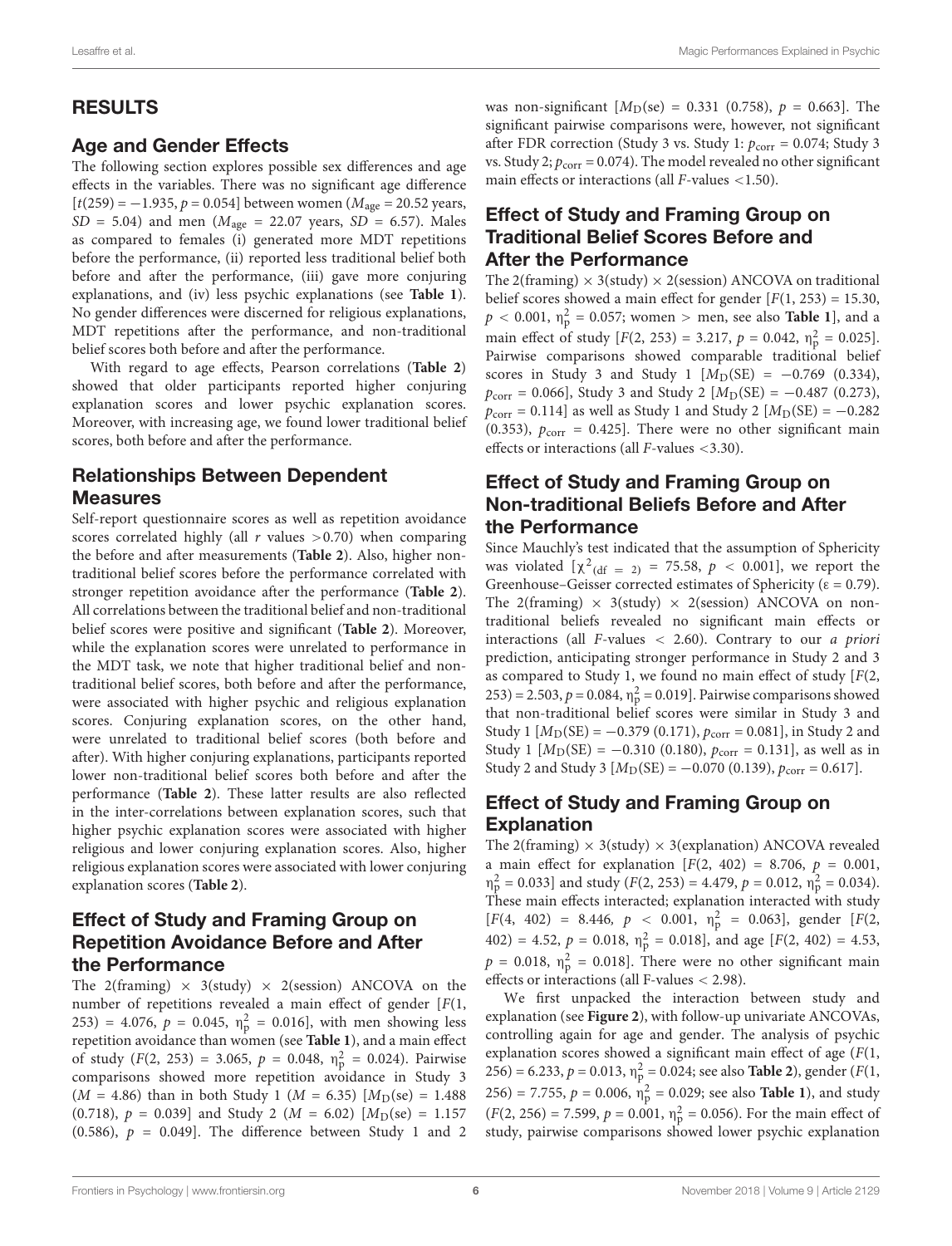# RESULTS

# Age and Gender Effects

The following section explores possible sex differences and age effects in the variables. There was no significant age difference  $[t(259) = -1.935, p = 0.054]$  between women  $(M<sub>age</sub> = 20.52$  years,  $SD = 5.04$ ) and men ( $M_{age} = 22.07$  years,  $SD = 6.57$ ). Males as compared to females (i) generated more MDT repetitions before the performance, (ii) reported less traditional belief both before and after the performance, (iii) gave more conjuring explanations, and (iv) less psychic explanations (see **[Table 1](#page-6-1)**). No gender differences were discerned for religious explanations, MDT repetitions after the performance, and non-traditional belief scores both before and after the performance.

With regard to age effects, Pearson correlations (**[Table 2](#page-6-0)**) showed that older participants reported higher conjuring explanation scores and lower psychic explanation scores. Moreover, with increasing age, we found lower traditional belief scores, both before and after the performance.

# Relationships Between Dependent Measures

Self-report questionnaire scores as well as repetition avoidance scores correlated highly (all  $r$  values  $>0.70$ ) when comparing the before and after measurements (**[Table 2](#page-6-0)**). Also, higher nontraditional belief scores before the performance correlated with stronger repetition avoidance after the performance (**[Table 2](#page-6-0)**). All correlations between the traditional belief and non-traditional belief scores were positive and significant (**[Table 2](#page-6-0)**). Moreover, while the explanation scores were unrelated to performance in the MDT task, we note that higher traditional belief and nontraditional belief scores, both before and after the performance, were associated with higher psychic and religious explanation scores. Conjuring explanation scores, on the other hand, were unrelated to traditional belief scores (both before and after). With higher conjuring explanations, participants reported lower non-traditional belief scores both before and after the performance (**[Table 2](#page-6-0)**). These latter results are also reflected in the inter-correlations between explanation scores, such that higher psychic explanation scores were associated with higher religious and lower conjuring explanation scores. Also, higher religious explanation scores were associated with lower conjuring explanation scores (**[Table 2](#page-6-0)**).

# Effect of Study and Framing Group on Repetition Avoidance Before and After the Performance

The 2(framing)  $\times$  3(study)  $\times$  2(session) ANCOVA on the number of repetitions revealed a main effect of gender  $[F(1,$ 253) = 4.076,  $p = 0.045$ ,  $\eta_p^2 = 0.016$ , with men showing less repetition avoidance than women (see **[Table 1](#page-6-1)**), and a main effect of study ( $F(2, 253) = 3.065$ ,  $p = 0.048$ ,  $\eta_p^2 = 0.024$ ). Pairwise comparisons showed more repetition avoidance in Study 3  $(M = 4.86)$  than in both Study 1  $(M = 6.35)$   $[M_D(se) = 1.488$ (0.718),  $p = 0.039$ ] and Study 2 ( $M = 6.02$ ) [ $M_D$ (se) = 1.157  $(0.586)$ ,  $p = 0.049$ . The difference between Study 1 and 2 was non-significant  $[M_D(se) = 0.331 (0.758), p = 0.663$ . The significant pairwise comparisons were, however, not significant after FDR correction (Study 3 vs. Study 1:  $p_{corr} = 0.074$ ; Study 3 vs. Study 2;  $p_{corr} = 0.074$ ). The model revealed no other significant main effects or interactions (all  $F$ -values <1.50).

# Effect of Study and Framing Group on Traditional Belief Scores Before and After the Performance

The 2(framing)  $\times$  3(study)  $\times$  2(session) ANCOVA on traditional belief scores showed a main effect for gender  $[F(1, 253) = 15.30,$  $p < 0.001$ ,  $\eta_{\rm p}^2 = 0.057$ ; women > men, see also **[Table 1](#page-6-1)**], and a main effect of study  $[F(2, 253) = 3.217, p = 0.042, \eta_{\rm p}^2 = 0.025]$ . Pairwise comparisons showed comparable traditional belief scores in Study 3 and Study 1  $[M_D(SE) = -0.769 (0.334),$  $p_{corr} = 0.066$ , Study 3 and Study 2  $[M_D(SE) = -0.487 (0.273),$  $p_{\text{corr}} = 0.114$ ] as well as Study 1 and Study 2 [ $M_{\text{D}}(SE) = -0.282$ (0.353),  $p_{corr} = 0.425$ ]. There were no other significant main effects or interactions (all F-values <3.30).

# Effect of Study and Framing Group on Non-traditional Beliefs Before and After the Performance

Since Mauchly's test indicated that the assumption of Sphericity was violated  $[\chi^2_{\text{ (df = 2)}}$  = 75.58,  $p$  < 0.001], we report theGreenhouse–Geisser corrected estimates of Sphericity ( $\varepsilon = 0.79$ ). The 2(framing)  $\times$  3(study)  $\times$  2(session) ANCOVA on nontraditional beliefs revealed no significant main effects or interactions (all  $F$ -values  $\langle$  2.60). Contrary to our *a priori* prediction, anticipating stronger performance in Study 2 and 3 as compared to Study 1, we found no main effect of study  $[F(2, 1)]$ 253) = 2.503,  $p = 0.084$ ,  $\eta_{\rm p}^2 = 0.019$ ]. Pairwise comparisons showed that non-traditional belief scores were similar in Study 3 and Study 1  $[M_D(SE) = -0.379 (0.171), p_{corr} = 0.081]$ , in Study 2 and Study 1  $[M_D(SE) = -0.310 (0.180), p_{corr} = 0.131]$ , as well as in Study 2 and Study 3 [ $M_D$ (SE) = -0.070 (0.139),  $p_{corr}$  = 0.617].

# Effect of Study and Framing Group on Explanation

The 2(framing)  $\times$  3(study)  $\times$  3(explanation) ANCOVA revealed a main effect for explanation  $[F(2, 402) = 8.706, p = 0.001,$  $\eta_p^2 = 0.033$  and study (*F*(2, 253) = 4.479, *p* = 0.012,  $\eta_p^2 = 0.034$ ). These main effects interacted; explanation interacted with study  $[F(4, 402) = 8.446, p < 0.001, \eta_p^2 = 0.063]$ , gender  $[F(2,$ 402) = 4.52,  $p = 0.018$ ,  $\eta_p^2 = 0.018$ , and age [F(2, 402) = 4.53,  $p = 0.018$ ,  $\eta_{\rm p}^2 = 0.018$ ]. There were no other significant main effects or interactions (all F-values < 2.98).

We first unpacked the interaction between study and explanation (see **[Figure 2](#page-7-0)**), with follow-up univariate ANCOVAs, controlling again for age and gender. The analysis of psychic explanation scores showed a significant main effect of age  $(F(1,$ 256) = 6.233,  $p = 0.013$ ,  $\eta_p^2 = 0.024$ ; see also **[Table 2](#page-6-0)**), gender (*F*(1, 256) = 7.755,  $p = 0.006$ ,  $\eta_p^2 = 0.029$ ; see also **[Table 1](#page-6-1)**), and study  $(F(2, 256) = 7.599, p = 0.001, \eta_p^2 = 0.056)$ . For the main effect of study, pairwise comparisons showed lower psychic explanation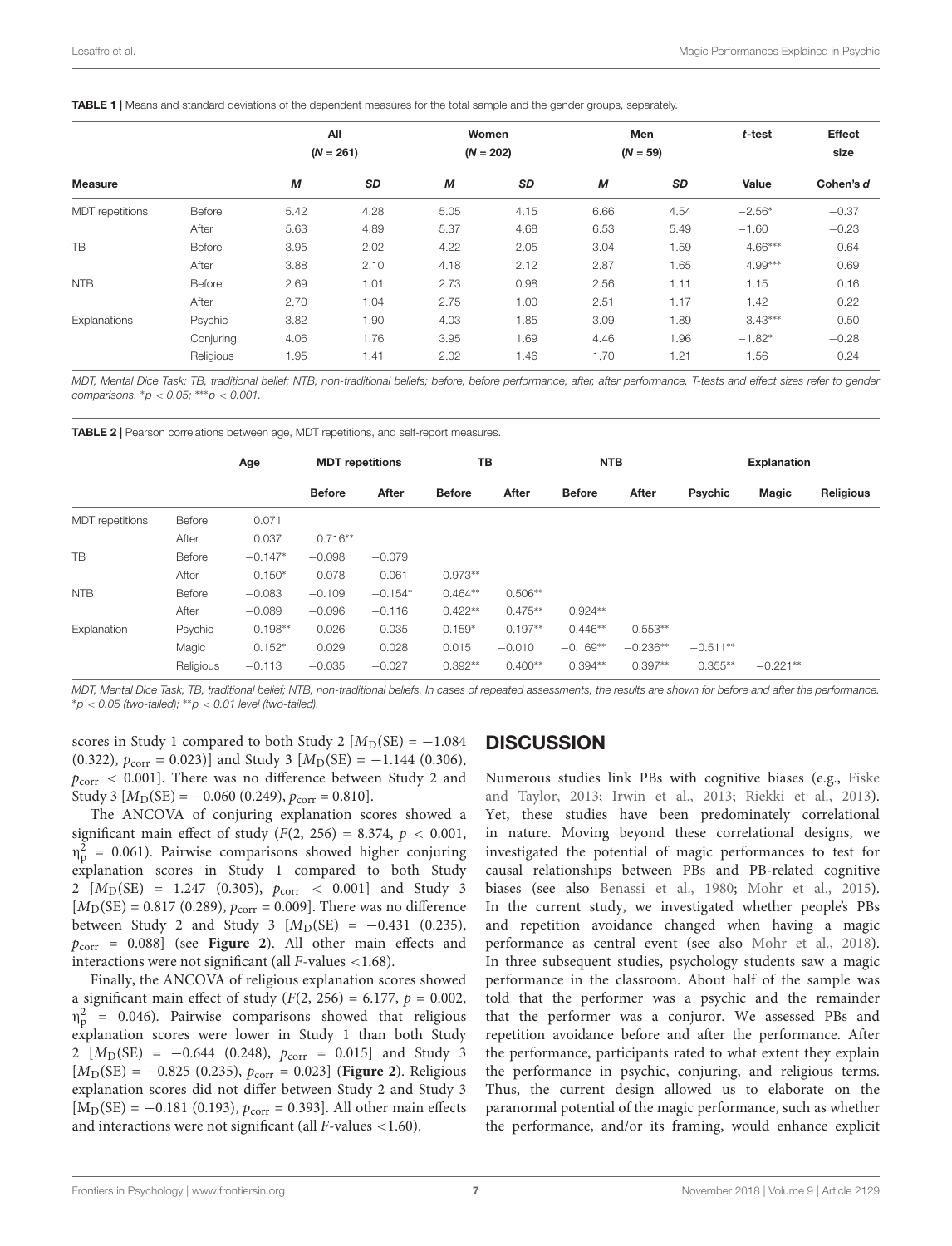<span id="page-6-1"></span>

|  | TABLE 1   Means and standard deviations of the dependent measures for the total sample and the gender groups, separately. |  |  |
|--|---------------------------------------------------------------------------------------------------------------------------|--|--|
|  |                                                                                                                           |  |  |

|                        |           | All<br>$(N = 261)$ |      | Women<br>$(N = 202)$ |      | Men<br>$(N = 59)$ |      | $t$ -test | <b>Effect</b><br>size |
|------------------------|-----------|--------------------|------|----------------------|------|-------------------|------|-----------|-----------------------|
| <b>Measure</b>         |           | M                  | SD   | M                    | SD   | M                 | SD   | Value     | Cohen's d             |
| <b>MDT</b> repetitions | Before    | 5.42               | 4.28 | 5.05                 | 4.15 | 6.66              | 4.54 | $-2.56*$  | $-0.37$               |
|                        | After     | 5.63               | 4.89 | 5.37                 | 4.68 | 6.53              | 5.49 | $-1.60$   | $-0.23$               |
| <b>TB</b>              | Before    | 3.95               | 2.02 | 4.22                 | 2.05 | 3.04              | 1.59 | $4.66***$ | 0.64                  |
|                        | After     | 3.88               | 2.10 | 4.18                 | 2.12 | 2.87              | 1.65 | 4.99***   | 0.69                  |
| NTB                    | Before    | 2.69               | 1.01 | 2.73                 | 0.98 | 2.56              | 1.11 | 1.15      | 0.16                  |
|                        | After     | 2.70               | 1.04 | 2.75                 | 1.00 | 2.51              | 1.17 | 1.42      | 0.22                  |
| Explanations           | Psychic   | 3.82               | 1.90 | 4.03                 | 1.85 | 3.09              | 1.89 | $3.43***$ | 0.50                  |
|                        | Conjuring | 4.06               | 1.76 | 3.95                 | 1.69 | 4.46              | 1.96 | $-1.82*$  | $-0.28$               |
|                        | Religious | 1.95               | 1.41 | 2.02                 | 1.46 | 1.70              | 1.21 | 1.56      | 0.24                  |

MDT, Mental Dice Task; TB, traditional belief; NTB, non-traditional beliefs; before, before performance; after, after performance. T-tests and effect sizes refer to gender comparisons.  ${}^*p$  < 0.05; \*\*\*p < 0.001.

<span id="page-6-0"></span>TABLE 2 | Pearson correlations between age, MDT repetitions, and self-report measures.

|                        |           | Age        | <b>MDT</b> repetitions |           | TВ            |           | <b>NTB</b>    |            | <b>Explanation</b> |            |                  |
|------------------------|-----------|------------|------------------------|-----------|---------------|-----------|---------------|------------|--------------------|------------|------------------|
|                        |           |            | <b>Before</b>          | After     | <b>Before</b> | After     | <b>Before</b> | After      | <b>Psychic</b>     | Magic      | <b>Religious</b> |
| <b>MDT</b> repetitions | Before    | 0.071      |                        |           |               |           |               |            |                    |            |                  |
|                        | After     | 0.037      | $0.716**$              |           |               |           |               |            |                    |            |                  |
| <b>TB</b>              | Before    | $-0.147*$  | $-0.098$               | $-0.079$  |               |           |               |            |                    |            |                  |
|                        | After     | $-0.150*$  | $-0.078$               | $-0.061$  | $0.973**$     |           |               |            |                    |            |                  |
| NTB                    | Before    | $-0.083$   | $-0.109$               | $-0.154*$ | $0.464**$     | $0.506**$ |               |            |                    |            |                  |
|                        | After     | $-0.089$   | $-0.096$               | $-0.116$  | $0.422**$     | $0.475**$ | $0.924**$     |            |                    |            |                  |
| Explanation            | Psychic   | $-0.198**$ | $-0.026$               | 0.035     | $0.159*$      | $0.197**$ | $0.446**$     | $0.553**$  |                    |            |                  |
|                        | Magic     | $0.152*$   | 0.029                  | 0.028     | 0.015         | $-0.010$  | $-0.169**$    | $-0.236**$ | $-0.511**$         |            |                  |
|                        | Religious | $-0.113$   | $-0.035$               | $-0.027$  | $0.392**$     | $0.400**$ | $0.394**$     | $0.397**$  | $0.355***$         | $-0.221**$ |                  |

MDT, Mental Dice Task; TB, traditional belief; NTB, non-traditional beliefs. In cases of repeated assessments, the results are shown for before and after the performance.  $*p < 0.05$  (two-tailed);  $*p < 0.01$  level (two-tailed).

scores in Study 1 compared to both Study 2  $[M_D(SE) = -1.084$ (0.322),  $p_{corr} = 0.023$ ] and Study 3 [ $M_D$ (SE) = -1.144 (0.306),  $p_{\text{corr}}$  < 0.001]. There was no difference between Study 2 and Study 3  $[M_D(SE) = -0.060 (0.249), p_{corr} = 0.810].$ 

The ANCOVA of conjuring explanation scores showed a significant main effect of study  $(F(2, 256) = 8.374, p < 0.001,$  $\eta_{\rm p}^2$  = 0.061). Pairwise comparisons showed higher conjuring explanation scores in Study 1 compared to both Study 2  $[M_D(SE) = 1.247 (0.305), p_{corr} < 0.001]$  and Study 3  $[M_D(SE) = 0.817 (0.289), p_{corr} = 0.009]$ . There was no difference between Study 2 and Study 3  $[M_D(SE) = -0.431 \ (0.235),$  $p_{corr}$  = 0.088] (see **[Figure 2](#page-7-0)**). All other main effects and interactions were not significant (all  $F$ -values <1.68).

Finally, the ANCOVA of religious explanation scores showed a significant main effect of study ( $F(2, 256) = 6.177$ ,  $p = 0.002$ ,  $\eta_p^2$  = 0.046). Pairwise comparisons showed that religious explanation scores were lower in Study 1 than both Study 2  $[M_D(SE) = -0.644$  (0.248),  $p_{corr} = 0.015$  and Study 3  $[M_D(SE) = -0.825 (0.235), p_{corr} = 0.023]$  (**[Figure 2](#page-7-0)**). Religious explanation scores did not differ between Study 2 and Study 3  $[M_D(SE) = -0.181 (0.193), p_{corr} = 0.393]$ . All other main effects and interactions were not significant (all  $F$ -values <1.60).

### **DISCUSSION**

Numerous studies link PBs with cognitive biases (e.g., [Fiske](#page-9-5) [and Taylor,](#page-9-5) [2013;](#page-9-5) [Irwin et al.,](#page-9-11) [2013;](#page-9-11) [Riekki et al.,](#page-10-26) [2013\)](#page-10-26). Yet, these studies have been predominately correlational in nature. Moving beyond these correlational designs, we investigated the potential of magic performances to test for causal relationships between PBs and PB-related cognitive biases (see also [Benassi et al.,](#page-9-15) [1980;](#page-9-15) [Mohr et al.,](#page-10-29) [2015\)](#page-10-29). In the current study, we investigated whether people's PBs and repetition avoidance changed when having a magic performance as central event (see also [Mohr et al.,](#page-10-0) [2018\)](#page-10-0). In three subsequent studies, psychology students saw a magic performance in the classroom. About half of the sample was told that the performer was a psychic and the remainder that the performer was a conjuror. We assessed PBs and repetition avoidance before and after the performance. After the performance, participants rated to what extent they explain the performance in psychic, conjuring, and religious terms. Thus, the current design allowed us to elaborate on the paranormal potential of the magic performance, such as whether the performance, and/or its framing, would enhance explicit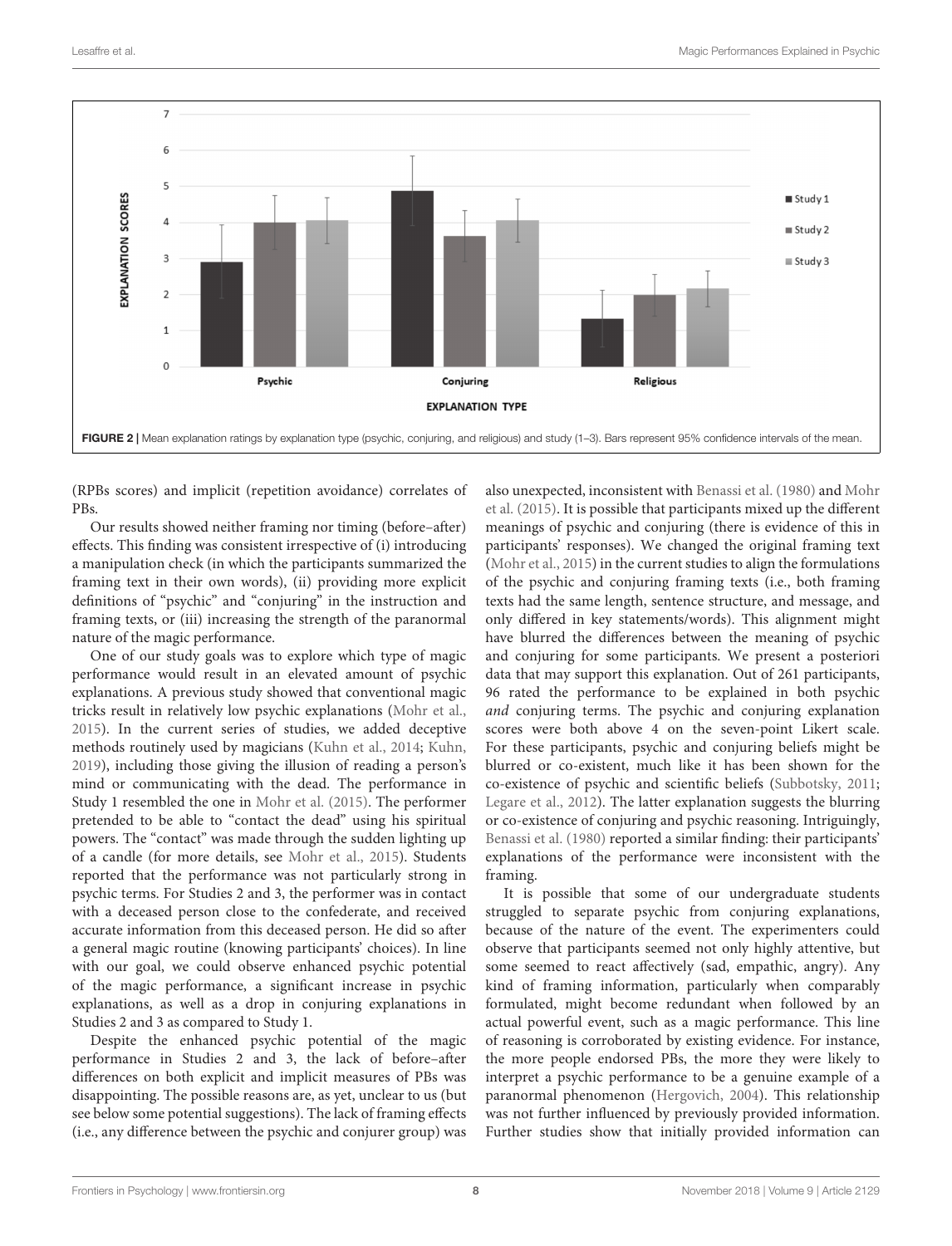

<span id="page-7-0"></span>(RPBs scores) and implicit (repetition avoidance) correlates of PBs.

Our results showed neither framing nor timing (before–after) effects. This finding was consistent irrespective of (i) introducing a manipulation check (in which the participants summarized the framing text in their own words), (ii) providing more explicit definitions of "psychic" and "conjuring" in the instruction and framing texts, or (iii) increasing the strength of the paranormal nature of the magic performance.

One of our study goals was to explore which type of magic performance would result in an elevated amount of psychic explanations. A previous study showed that conventional magic tricks result in relatively low psychic explanations [\(Mohr et al.,](#page-10-29) [2015\)](#page-10-29). In the current series of studies, we added deceptive methods routinely used by magicians [\(Kuhn et al.,](#page-10-33) [2014;](#page-10-33) [Kuhn,](#page-10-34) [2019\)](#page-10-34), including those giving the illusion of reading a person's mind or communicating with the dead. The performance in Study 1 resembled the one in [Mohr et al.](#page-10-29) [\(2015\)](#page-10-29). The performer pretended to be able to "contact the dead" using his spiritual powers. The "contact" was made through the sudden lighting up of a candle (for more details, see [Mohr et al.,](#page-10-29) [2015\)](#page-10-29). Students reported that the performance was not particularly strong in psychic terms. For Studies 2 and 3, the performer was in contact with a deceased person close to the confederate, and received accurate information from this deceased person. He did so after a general magic routine (knowing participants' choices). In line with our goal, we could observe enhanced psychic potential of the magic performance, a significant increase in psychic explanations, as well as a drop in conjuring explanations in Studies 2 and 3 as compared to Study 1.

Despite the enhanced psychic potential of the magic performance in Studies 2 and 3, the lack of before–after differences on both explicit and implicit measures of PBs was disappointing. The possible reasons are, as yet, unclear to us (but see below some potential suggestions). The lack of framing effects (i.e., any difference between the psychic and conjurer group) was

also unexpected, inconsistent with [Benassi et al.](#page-9-15) [\(1980\)](#page-9-15) and [Mohr](#page-10-29) [et al.](#page-10-29) [\(2015\)](#page-10-29). It is possible that participants mixed up the different meanings of psychic and conjuring (there is evidence of this in participants' responses). We changed the original framing text [\(Mohr et al.,](#page-10-29) [2015\)](#page-10-29) in the current studies to align the formulations of the psychic and conjuring framing texts (i.e., both framing texts had the same length, sentence structure, and message, and only differed in key statements/words). This alignment might have blurred the differences between the meaning of psychic and conjuring for some participants. We present a posteriori data that may support this explanation. Out of 261 participants, 96 rated the performance to be explained in both psychic and conjuring terms. The psychic and conjuring explanation scores were both above 4 on the seven-point Likert scale. For these participants, psychic and conjuring beliefs might be blurred or co-existent, much like it has been shown for the co-existence of psychic and scientific beliefs [\(Subbotsky,](#page-10-37) [2011;](#page-10-37) [Legare et al.,](#page-10-38) [2012\)](#page-10-38). The latter explanation suggests the blurring or co-existence of conjuring and psychic reasoning. Intriguingly, [Benassi et al.](#page-9-15) [\(1980\)](#page-9-15) reported a similar finding: their participants' explanations of the performance were inconsistent with the framing.

It is possible that some of our undergraduate students struggled to separate psychic from conjuring explanations, because of the nature of the event. The experimenters could observe that participants seemed not only highly attentive, but some seemed to react affectively (sad, empathic, angry). Any kind of framing information, particularly when comparably formulated, might become redundant when followed by an actual powerful event, such as a magic performance. This line of reasoning is corroborated by existing evidence. For instance, the more people endorsed PBs, the more they were likely to interpret a psychic performance to be a genuine example of a paranormal phenomenon [\(Hergovich,](#page-9-22) [2004\)](#page-9-22). This relationship was not further influenced by previously provided information. Further studies show that initially provided information can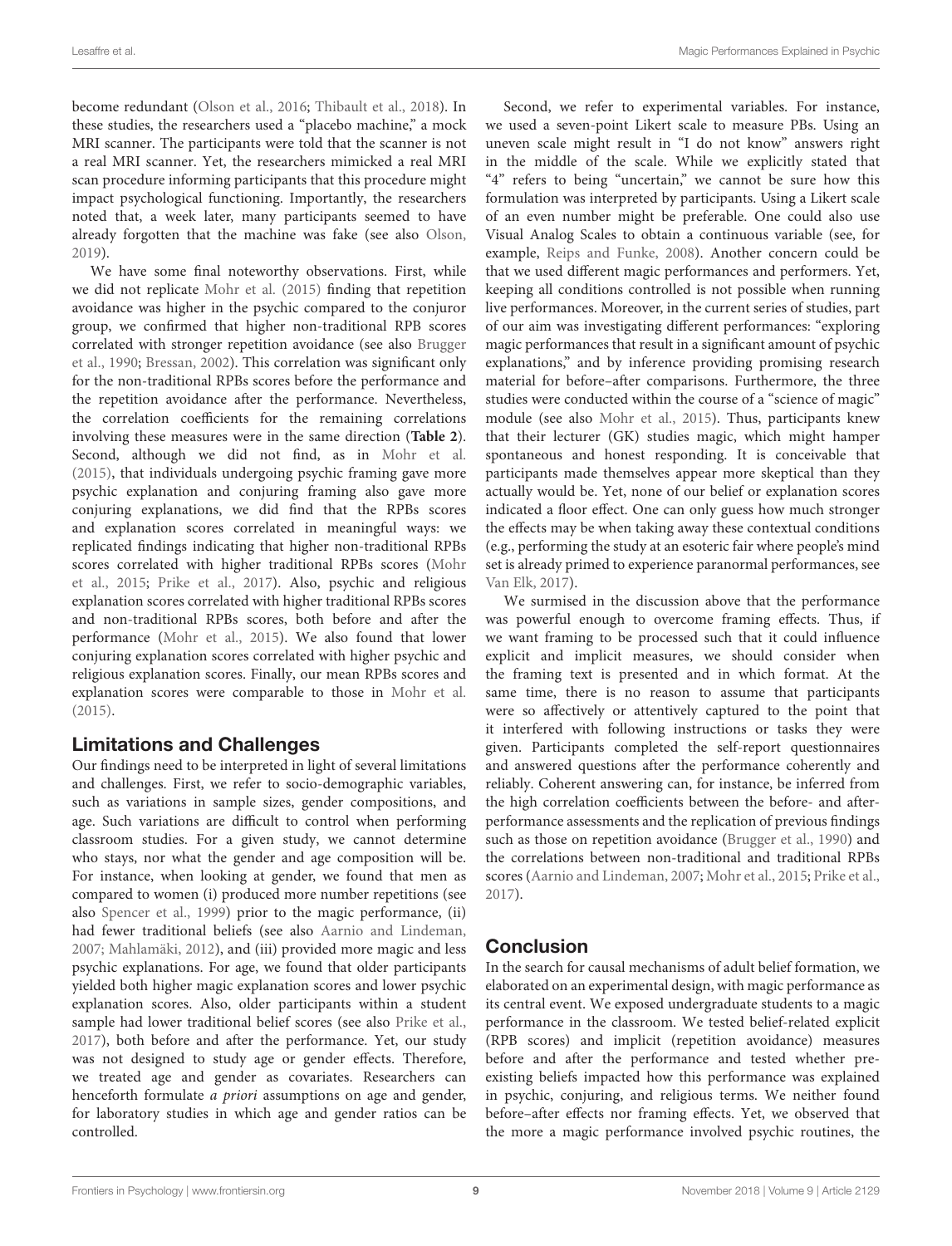become redundant [\(Olson et al.,](#page-10-39) [2016;](#page-10-39) [Thibault et al.,](#page-10-40) [2018\)](#page-10-40). In these studies, the researchers used a "placebo machine," a mock MRI scanner. The participants were told that the scanner is not a real MRI scanner. Yet, the researchers mimicked a real MRI scan procedure informing participants that this procedure might impact psychological functioning. Importantly, the researchers noted that, a week later, many participants seemed to have already forgotten that the machine was fake (see also [Olson,](#page-10-41) [2019\)](#page-10-41).

We have some final noteworthy observations. First, while we did not replicate [Mohr et al.](#page-10-29) [\(2015\)](#page-10-29) finding that repetition avoidance was higher in the psychic compared to the conjuror group, we confirmed that higher non-traditional RPB scores correlated with stronger repetition avoidance (see also [Brugger](#page-9-4) [et al.,](#page-9-4) [1990;](#page-9-4) [Bressan,](#page-9-23) [2002\)](#page-9-23). This correlation was significant only for the non-traditional RPBs scores before the performance and the repetition avoidance after the performance. Nevertheless, the correlation coefficients for the remaining correlations involving these measures were in the same direction (**[Table 2](#page-6-0)**). Second, although we did not find, as in [Mohr et al.](#page-10-29) [\(2015\)](#page-10-29), that individuals undergoing psychic framing gave more psychic explanation and conjuring framing also gave more conjuring explanations, we did find that the RPBs scores and explanation scores correlated in meaningful ways: we replicated findings indicating that higher non-traditional RPBs scores correlated with higher traditional RPBs scores [\(Mohr](#page-10-29) [et al.,](#page-10-29) [2015;](#page-10-29) [Prike et al.,](#page-10-42) [2017\)](#page-10-42). Also, psychic and religious explanation scores correlated with higher traditional RPBs scores and non-traditional RPBs scores, both before and after the performance [\(Mohr et al.,](#page-10-29) [2015\)](#page-10-29). We also found that lower conjuring explanation scores correlated with higher psychic and religious explanation scores. Finally, our mean RPBs scores and explanation scores were comparable to those in [Mohr et al.](#page-10-29) [\(2015\)](#page-10-29).

# Limitations and Challenges

Our findings need to be interpreted in light of several limitations and challenges. First, we refer to socio-demographic variables, such as variations in sample sizes, gender compositions, and age. Such variations are difficult to control when performing classroom studies. For a given study, we cannot determine who stays, nor what the gender and age composition will be. For instance, when looking at gender, we found that men as compared to women (i) produced more number repetitions (see also [Spencer et al.,](#page-10-43) [1999\)](#page-10-43) prior to the magic performance, (ii) had fewer traditional beliefs (see also [Aarnio and Lindeman,](#page-9-24) [2007;](#page-9-24) [Mahlamäki,](#page-10-44) [2012\)](#page-10-44), and (iii) provided more magic and less psychic explanations. For age, we found that older participants yielded both higher magic explanation scores and lower psychic explanation scores. Also, older participants within a student sample had lower traditional belief scores (see also [Prike et al.,](#page-10-42) [2017\)](#page-10-42), both before and after the performance. Yet, our study was not designed to study age or gender effects. Therefore, we treated age and gender as covariates. Researchers can henceforth formulate *a priori* assumptions on age and gender, for laboratory studies in which age and gender ratios can be controlled.

Second, we refer to experimental variables. For instance, we used a seven-point Likert scale to measure PBs. Using an uneven scale might result in "I do not know" answers right in the middle of the scale. While we explicitly stated that "4" refers to being "uncertain," we cannot be sure how this formulation was interpreted by participants. Using a Likert scale of an even number might be preferable. One could also use Visual Analog Scales to obtain a continuous variable (see, for example, [Reips and Funke,](#page-10-45) [2008\)](#page-10-45). Another concern could be that we used different magic performances and performers. Yet, keeping all conditions controlled is not possible when running live performances. Moreover, in the current series of studies, part of our aim was investigating different performances: "exploring magic performances that result in a significant amount of psychic explanations," and by inference providing promising research material for before–after comparisons. Furthermore, the three studies were conducted within the course of a "science of magic" module (see also [Mohr et al.,](#page-10-29) [2015\)](#page-10-29). Thus, participants knew that their lecturer (GK) studies magic, which might hamper spontaneous and honest responding. It is conceivable that participants made themselves appear more skeptical than they actually would be. Yet, none of our belief or explanation scores indicated a floor effect. One can only guess how much stronger the effects may be when taking away these contextual conditions (e.g., performing the study at an esoteric fair where people's mind set is already primed to experience paranormal performances, see [Van Elk,](#page-10-46) [2017\)](#page-10-46).

We surmised in the discussion above that the performance was powerful enough to overcome framing effects. Thus, if we want framing to be processed such that it could influence explicit and implicit measures, we should consider when the framing text is presented and in which format. At the same time, there is no reason to assume that participants were so affectively or attentively captured to the point that it interfered with following instructions or tasks they were given. Participants completed the self-report questionnaires and answered questions after the performance coherently and reliably. Coherent answering can, for instance, be inferred from the high correlation coefficients between the before- and afterperformance assessments and the replication of previous findings such as those on repetition avoidance [\(Brugger et al.,](#page-9-4) [1990\)](#page-9-4) and the correlations between non-traditional and traditional RPBs scores [\(Aarnio and Lindeman,](#page-9-24) [2007;](#page-9-24) [Mohr et al.,](#page-10-29) [2015;](#page-10-29) [Prike et al.,](#page-10-42) [2017\)](#page-10-42).

# Conclusion

In the search for causal mechanisms of adult belief formation, we elaborated on an experimental design, with magic performance as its central event. We exposed undergraduate students to a magic performance in the classroom. We tested belief-related explicit (RPB scores) and implicit (repetition avoidance) measures before and after the performance and tested whether preexisting beliefs impacted how this performance was explained in psychic, conjuring, and religious terms. We neither found before–after effects nor framing effects. Yet, we observed that the more a magic performance involved psychic routines, the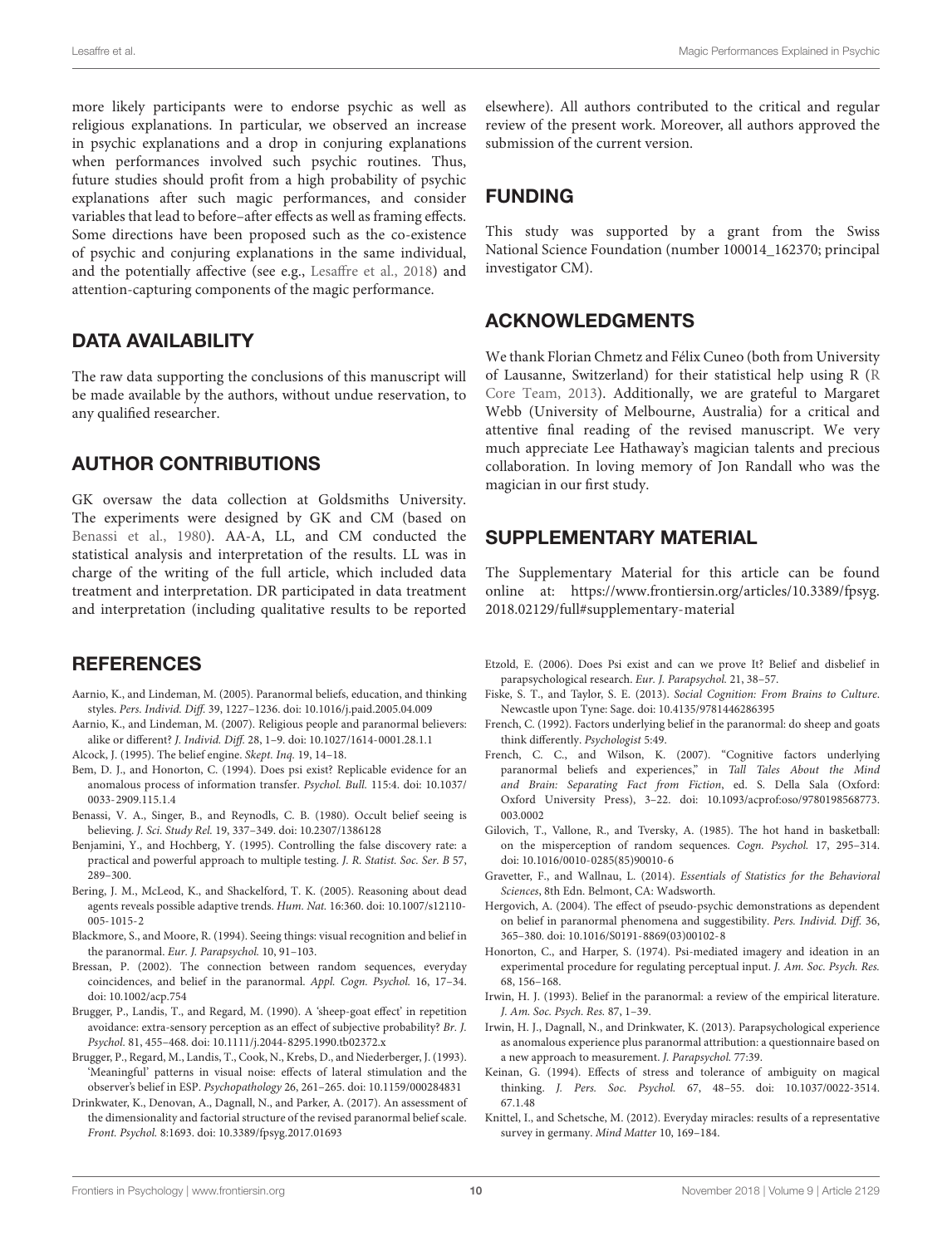more likely participants were to endorse psychic as well as religious explanations. In particular, we observed an increase in psychic explanations and a drop in conjuring explanations when performances involved such psychic routines. Thus, future studies should profit from a high probability of psychic explanations after such magic performances, and consider variables that lead to before–after effects as well as framing effects. Some directions have been proposed such as the co-existence of psychic and conjuring explanations in the same individual, and the potentially affective (see e.g., [Lesaffre et al.,](#page-10-47) [2018\)](#page-10-47) and attention-capturing components of the magic performance.

### DATA AVAILABILITY

The raw data supporting the conclusions of this manuscript will be made available by the authors, without undue reservation, to any qualified researcher.

# AUTHOR CONTRIBUTIONS

GK oversaw the data collection at Goldsmiths University. The experiments were designed by GK and CM (based on [Benassi et al.,](#page-9-15) [1980\)](#page-9-15). AA-A, LL, and CM conducted the statistical analysis and interpretation of the results. LL was in charge of the writing of the full article, which included data treatment and interpretation. DR participated in data treatment and interpretation (including qualitative results to be reported

# **REFERENCES**

- <span id="page-9-18"></span>Aarnio, K., and Lindeman, M. (2005). Paranormal beliefs, education, and thinking styles. Pers. Individ. Diff. 39, 1227–1236. [doi: 10.1016/j.paid.2005.04.009](https://doi.org/10.1016/j.paid.2005.04.009)
- <span id="page-9-24"></span>Aarnio, K., and Lindeman, M. (2007). Religious people and paranormal believers: alike or different? J. Individ. Diff. 28, 1–9. [doi: 10.1027/1614-0001.28.1.1](https://doi.org/10.1027/1614-0001.28.1.1)
- <span id="page-9-9"></span>Alcock, J. (1995). The belief engine. Skept. Inq. 19, 14–18.
- <span id="page-9-2"></span>Bem, D. J., and Honorton, C. (1994). Does psi exist? Replicable evidence for an anomalous process of information transfer. Psychol. Bull. 115:4. [doi: 10.1037/](https://doi.org/10.1037/0033-2909.115.1.4) [0033-2909.115.1.4](https://doi.org/10.1037/0033-2909.115.1.4)
- <span id="page-9-15"></span>Benassi, V. A., Singer, B., and Reynodls, C. B. (1980). Occult belief seeing is believing. J. Sci. Study Rel. 19, 337–349. [doi: 10.2307/1386128](https://doi.org/10.2307/1386128)
- <span id="page-9-21"></span>Benjamini, Y., and Hochberg, Y. (1995). Controlling the false discovery rate: a practical and powerful approach to multiple testing. J. R. Statist. Soc. Ser. B 57, 289–300.
- <span id="page-9-14"></span>Bering, J. M., McLeod, K., and Shackelford, T. K. (2005). Reasoning about dead agents reveals possible adaptive trends. Hum. Nat. 16:360. [doi: 10.1007/s12110-](https://doi.org/10.1007/s12110-005-1015-2) [005-1015-2](https://doi.org/10.1007/s12110-005-1015-2)
- <span id="page-9-13"></span>Blackmore, S., and Moore, R. (1994). Seeing things: visual recognition and belief in the paranormal. Eur. J. Parapsychol. 10, 91–103.
- <span id="page-9-23"></span>Bressan, P. (2002). The connection between random sequences, everyday coincidences, and belief in the paranormal. Appl. Cogn. Psychol. 16, 17–34. [doi: 10.1002/acp.754](https://doi.org/10.1002/acp.754)
- <span id="page-9-4"></span>Brugger, P., Landis, T., and Regard, M. (1990). A 'sheep-goat effect' in repetition avoidance: extra-sensory perception as an effect of subjective probability? Br. J. Psychol. 81, 455–468. [doi: 10.1111/j.2044-8295.1990.tb02372.x](https://doi.org/10.1111/j.2044-8295.1990.tb02372.x)
- <span id="page-9-12"></span>Brugger, P., Regard, M., Landis, T., Cook, N., Krebs, D., and Niederberger, J. (1993). 'Meaningful' patterns in visual noise: effects of lateral stimulation and the observer's belief in ESP. Psychopathology 26, 261–265. [doi: 10.1159/000284831](https://doi.org/10.1159/000284831)
- <span id="page-9-16"></span>Drinkwater, K., Denovan, A., Dagnall, N., and Parker, A. (2017). An assessment of the dimensionality and factorial structure of the revised paranormal belief scale. Front. Psychol. 8:1693. [doi: 10.3389/fpsyg.2017.01693](https://doi.org/10.3389/fpsyg.2017.01693)

elsewhere). All authors contributed to the critical and regular review of the present work. Moreover, all authors approved the submission of the current version.

# FUNDING

This study was supported by a grant from the Swiss National Science Foundation (number 100014\_162370; principal investigator CM).

# ACKNOWLEDGMENTS

We thank Florian Chmetz and Félix Cuneo (both from University of Lausanne, Switzerland) for their statistical help using R [\(R](#page-10-48) [Core Team,](#page-10-48) [2013\)](#page-10-48). Additionally, we are grateful to Margaret Webb (University of Melbourne, Australia) for a critical and attentive final reading of the revised manuscript. We very much appreciate Lee Hathaway's magician talents and precious collaboration. In loving memory of Jon Randall who was the magician in our first study.

# <span id="page-9-17"></span>SUPPLEMENTARY MATERIAL

The Supplementary Material for this article can be found online at: [https://www.frontiersin.org/articles/10.3389/fpsyg.](https://www.frontiersin.org/articles/10.3389/fpsyg.2018.02129/full#supplementary-material) [2018.02129/full#supplementary-material](https://www.frontiersin.org/articles/10.3389/fpsyg.2018.02129/full#supplementary-material)

- <span id="page-9-3"></span>Etzold, E. (2006). Does Psi exist and can we prove It? Belief and disbelief in parapsychological research. Eur. J. Parapsychol. 21, 38–57.
- <span id="page-9-5"></span>Fiske, S. T., and Taylor, S. E. (2013). Social Cognition: From Brains to Culture. Newcastle upon Tyne: Sage. [doi: 10.4135/9781446286395](https://doi.org/10.4135/9781446286395)
- <span id="page-9-6"></span>French, C. (1992). Factors underlying belief in the paranormal: do sheep and goats think differently. Psychologist 5:49.
- <span id="page-9-19"></span>French, C. C., and Wilson, K. (2007). "Cognitive factors underlying paranormal beliefs and experiences," in Tall Tales About the Mind and Brain: Separating Fact from Fiction, ed. S. Della Sala (Oxford: Oxford University Press), 3–22. [doi: 10.1093/acprof:oso/9780198568773.](https://doi.org/10.1093/acprof:oso/9780198568773.003.0002) [003.0002](https://doi.org/10.1093/acprof:oso/9780198568773.003.0002)
- <span id="page-9-10"></span>Gilovich, T., Vallone, R., and Tversky, A. (1985). The hot hand in basketball: on the misperception of random sequences. Cogn. Psychol. 17, 295–314. [doi: 10.1016/0010-0285\(85\)90010-6](https://doi.org/10.1016/0010-0285(85)90010-6)
- <span id="page-9-20"></span>Gravetter, F., and Wallnau, L. (2014). Essentials of Statistics for the Behavioral Sciences, 8th Edn. Belmont, CA: Wadsworth.
- <span id="page-9-22"></span>Hergovich, A. (2004). The effect of pseudo-psychic demonstrations as dependent on belief in paranormal phenomena and suggestibility. Pers. Individ. Diff. 36, 365–380. [doi: 10.1016/S0191-8869\(03\)00102-8](https://doi.org/10.1016/S0191-8869(03)00102-8)
- <span id="page-9-1"></span>Honorton, C., and Harper, S. (1974). Psi-mediated imagery and ideation in an experimental procedure for regulating perceptual input. J. Am. Soc. Psych. Res. 68, 156–168.
- <span id="page-9-7"></span>Irwin, H. J. (1993). Belief in the paranormal: a review of the empirical literature. J. Am. Soc. Psych. Res. 87, 1–39.
- <span id="page-9-11"></span>Irwin, H. J., Dagnall, N., and Drinkwater, K. (2013). Parapsychological experience as anomalous experience plus paranormal attribution: a questionnaire based on a new approach to measurement. J. Parapsychol. 77:39.
- <span id="page-9-8"></span>Keinan, G. (1994). Effects of stress and tolerance of ambiguity on magical thinking. J. Pers. Soc. Psychol. 67, 48–55. [doi: 10.1037/0022-3514.](https://doi.org/10.1037/0022-3514.67.1.48) [67.1.48](https://doi.org/10.1037/0022-3514.67.1.48)
- <span id="page-9-0"></span>Knittel, I., and Schetsche, M. (2012). Everyday miracles: results of a representative survey in germany. Mind Matter 10, 169–184.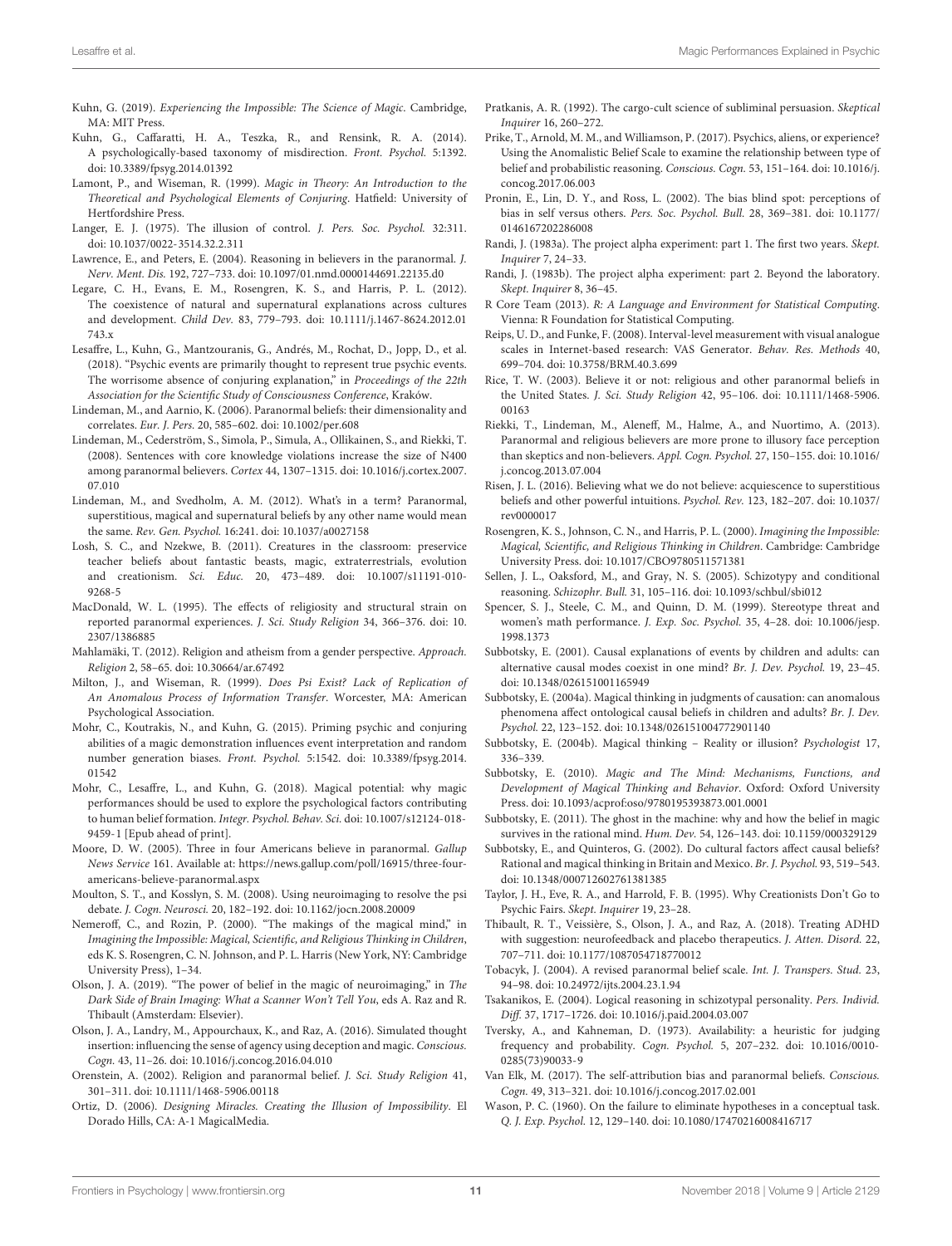- <span id="page-10-34"></span>Kuhn, G. (2019). Experiencing the Impossible: The Science of Magic. Cambridge, MA: MIT Press.
- <span id="page-10-33"></span>Kuhn, G., Caffaratti, H. A., Teszka, R., and Rensink, R. A. (2014). A psychologically-based taxonomy of misdirection. Front. Psychol. 5:1392. [doi: 10.3389/fpsyg.2014.01392](https://doi.org/10.3389/fpsyg.2014.01392)
- <span id="page-10-31"></span>Lamont, P., and Wiseman, R. (1999). Magic in Theory: An Introduction to the Theoretical and Psychological Elements of Conjuring. Hatfield: University of Hertfordshire Press.
- <span id="page-10-19"></span>Langer, E. J. (1975). The illusion of control. J. Pers. Soc. Psychol. 32:311. [doi: 10.1037/0022-3514.32.2.311](https://doi.org/10.1037/0022-3514.32.2.311)
- <span id="page-10-23"></span>Lawrence, E., and Peters, E. (2004). Reasoning in believers in the paranormal. J. Nerv. Ment. Dis. 192, 727–733. [doi: 10.1097/01.nmd.0000144691.22135.d0](https://doi.org/10.1097/01.nmd.0000144691.22135.d0)
- <span id="page-10-38"></span>Legare, C. H., Evans, E. M., Rosengren, K. S., and Harris, P. L. (2012). The coexistence of natural and supernatural explanations across cultures and development. Child Dev. 83, 779–793. [doi: 10.1111/j.1467-8624.2012.01](https://doi.org/10.1111/j.1467-8624.2012.01743.x) [743.x](https://doi.org/10.1111/j.1467-8624.2012.01743.x)
- <span id="page-10-47"></span>Lesaffre, L., Kuhn, G., Mantzouranis, G., Andrés, M., Rochat, D., Jopp, D., et al. (2018). "Psychic events are primarily thought to represent true psychic events. The worrisome absence of conjuring explanation," in Proceedings of the 22th Association for the Scientific Study of Consciousness Conference, Kraków.
- <span id="page-10-11"></span>Lindeman, M., and Aarnio, K. (2006). Paranormal beliefs: their dimensionality and correlates. Eur. J. Pers. 20, 585–602. [doi: 10.1002/per.608](https://doi.org/10.1002/per.608)
- <span id="page-10-16"></span>Lindeman, M., Cederström, S., Simola, P., Simula, A., Ollikainen, S., and Riekki, T. (2008). Sentences with core knowledge violations increase the size of N400 among paranormal believers. Cortex 44, 1307–1315. [doi: 10.1016/j.cortex.2007.](https://doi.org/10.1016/j.cortex.2007.07.010) [07.010](https://doi.org/10.1016/j.cortex.2007.07.010)
- <span id="page-10-3"></span>Lindeman, M., and Svedholm, A. M. (2012). What's in a term? Paranormal, superstitious, magical and supernatural beliefs by any other name would mean the same. Rev. Gen. Psychol. 16:241. [doi: 10.1037/a0027158](https://doi.org/10.1037/a0027158)
- <span id="page-10-12"></span>Losh, S. C., and Nzekwe, B. (2011). Creatures in the classroom: preservice teacher beliefs about fantastic beasts, magic, extraterrestrials, evolution and creationism. Sci. Educ. 20, 473–489. [doi: 10.1007/s11191-010-](https://doi.org/10.1007/s11191-010-9268-5) [9268-5](https://doi.org/10.1007/s11191-010-9268-5)
- <span id="page-10-35"></span>MacDonald, W. L. (1995). The effects of religiosity and structural strain on reported paranormal experiences. J. Sci. Study Religion 34, 366–376. [doi: 10.](https://doi.org/10.2307/1386885) [2307/1386885](https://doi.org/10.2307/1386885)
- <span id="page-10-44"></span>Mahlamäki, T. (2012). Religion and atheism from a gender perspective. Approach. Religion 2, 58–65. [doi: 10.30664/ar.67492](https://doi.org/10.30664/ar.67492)
- <span id="page-10-14"></span>Milton, J., and Wiseman, R. (1999). Does Psi Exist? Lack of Replication of An Anomalous Process of Information Transfer. Worcester, MA: American Psychological Association.
- <span id="page-10-29"></span>Mohr, C., Koutrakis, N., and Kuhn, G. (2015). Priming psychic and conjuring abilities of a magic demonstration influences event interpretation and random number generation biases. Front. Psychol. 5:1542. [doi: 10.3389/fpsyg.2014.](https://doi.org/10.3389/fpsyg.2014.01542) [01542](https://doi.org/10.3389/fpsyg.2014.01542)
- <span id="page-10-0"></span>Mohr, C., Lesaffre, L., and Kuhn, G. (2018). Magical potential: why magic performances should be used to explore the psychological factors contributing to human belief formation. Integr. Psychol. Behav. Sci. [doi: 10.1007/s12124-018-](https://doi.org/10.1007/s12124-018-9459-1) [9459-1](https://doi.org/10.1007/s12124-018-9459-1) [Epub ahead of print].
- <span id="page-10-2"></span>Moore, D. W. (2005). Three in four Americans believe in paranormal. Gallup News Service 161. Available at: [https://news.gallup.com/poll/16915/three-four](https://news.gallup.com/poll/16915/three-four-americans-believe-paranormal.aspx)[americans-believe-paranormal.aspx](https://news.gallup.com/poll/16915/three-four-americans-believe-paranormal.aspx)
- <span id="page-10-15"></span>Moulton, S. T., and Kosslyn, S. M. (2008). Using neuroimaging to resolve the psi debate. J. Cogn. Neurosci. 20, 182–192. [doi: 10.1162/jocn.2008.20009](https://doi.org/10.1162/jocn.2008.20009)
- <span id="page-10-4"></span>Nemeroff, C., and Rozin, P. (2000). "The makings of the magical mind," in Imagining the Impossible: Magical, Scientific, and Religious Thinking in Children, eds K. S. Rosengren, C. N. Johnson, and P. L. Harris (New York, NY: Cambridge University Press), 1–34.
- <span id="page-10-41"></span>Olson, J. A. (2019). "The power of belief in the magic of neuroimaging," in The Dark Side of Brain Imaging: What a Scanner Won't Tell You, eds A. Raz and R. Thibault (Amsterdam: Elsevier).
- <span id="page-10-39"></span>Olson, J. A., Landry, M., Appourchaux, K., and Raz, A. (2016). Simulated thought insertion: influencing the sense of agency using deception and magic. Conscious. Cogn. 43, 11–26. [doi: 10.1016/j.concog.2016.04.010](https://doi.org/10.1016/j.concog.2016.04.010)
- <span id="page-10-36"></span>Orenstein, A. (2002). Religion and paranormal belief. J. Sci. Study Religion 41, 301–311. [doi: 10.1111/1468-5906.00118](https://doi.org/10.1111/1468-5906.00118)
- <span id="page-10-32"></span>Ortiz, D. (2006). Designing Miracles. Creating the Illusion of Impossibility. El Dorado Hills, CA: A-1 MagicalMedia.
- <span id="page-10-21"></span>Pratkanis, A. R. (1992). The cargo-cult science of subliminal persuasion. Skeptical Inquirer 16, 260–272.
- <span id="page-10-42"></span>Prike, T., Arnold, M. M., and Williamson, P. (2017). Psychics, aliens, or experience? Using the Anomalistic Belief Scale to examine the relationship between type of belief and probabilistic reasoning. Conscious. Cogn. 53, 151–164. [doi: 10.1016/j.](https://doi.org/10.1016/j.concog.2017.06.003) [concog.2017.06.003](https://doi.org/10.1016/j.concog.2017.06.003)
- <span id="page-10-20"></span>Pronin, E., Lin, D. Y., and Ross, L. (2002). The bias blind spot: perceptions of bias in self versus others. Pers. Soc. Psychol. Bull. 28, 369–381. [doi: 10.1177/](https://doi.org/10.1177/0146167202286008) [0146167202286008](https://doi.org/10.1177/0146167202286008)
- <span id="page-10-27"></span>Randi, J. (1983a). The project alpha experiment: part 1. The first two years. Skept. Inquirer 7, 24–33.
- <span id="page-10-28"></span>Randi, J. (1983b). The project alpha experiment: part 2. Beyond the laboratory. Skept. Inquirer 8, 36–45.
- <span id="page-10-48"></span>R Core Team (2013). R: A Language and Environment for Statistical Computing. Vienna: R Foundation for Statistical Computing.
- <span id="page-10-45"></span>Reips, U. D., and Funke, F. (2008). Interval-level measurement with visual analogue scales in Internet-based research: VAS Generator. Behav. Res. Methods 40, 699–704. [doi: 10.3758/BRM.40.3.699](https://doi.org/10.3758/BRM.40.3.699)
- <span id="page-10-1"></span>Rice, T. W. (2003). Believe it or not: religious and other paranormal beliefs in the United States. J. Sci. Study Religion 42, 95–106. [doi: 10.1111/1468-5906.](https://doi.org/10.1111/1468-5906.00163) [00163](https://doi.org/10.1111/1468-5906.00163)
- <span id="page-10-26"></span>Riekki, T., Lindeman, M., Aleneff, M., Halme, A., and Nuortimo, A. (2013). Paranormal and religious believers are more prone to illusory face perception than skeptics and non-believers. Appl. Cogn. Psychol. 27, 150–155. [doi: 10.1016/](https://doi.org/10.1016/j.concog.2013.07.004) [j.concog.2013.07.004](https://doi.org/10.1016/j.concog.2013.07.004)
- <span id="page-10-13"></span>Risen, J. L. (2016). Believing what we do not believe: acquiescence to superstitious beliefs and other powerful intuitions. Psychol. Rev. 123, 182–207. [doi: 10.1037/](https://doi.org/10.1037/rev0000017) [rev0000017](https://doi.org/10.1037/rev0000017)
- <span id="page-10-8"></span>Rosengren, K. S., Johnson, C. N., and Harris, P. L. (2000). Imagining the Impossible: Magical, Scientific, and Religious Thinking in Children. Cambridge: Cambridge University Press. [doi: 10.1017/CBO9780511571381](https://doi.org/10.1017/CBO9780511571381)
- <span id="page-10-25"></span>Sellen, J. L., Oaksford, M., and Gray, N. S. (2005). Schizotypy and conditional reasoning. Schizophr. Bull. 31, 105–116. [doi: 10.1093/schbul/sbi012](https://doi.org/10.1093/schbul/sbi012)
- <span id="page-10-43"></span>Spencer, S. J., Steele, C. M., and Quinn, D. M. (1999). Stereotype threat and women's math performance. J. Exp. Soc. Psychol. 35, 4–28. [doi: 10.1006/jesp.](https://doi.org/10.1006/jesp.1998.1373) [1998.1373](https://doi.org/10.1006/jesp.1998.1373)
- <span id="page-10-9"></span>Subbotsky, E. (2001). Causal explanations of events by children and adults: can alternative causal modes coexist in one mind? Br. J. Dev. Psychol. 19, 23–45. [doi: 10.1348/026151001165949](https://doi.org/10.1348/026151001165949)
- <span id="page-10-6"></span>Subbotsky, E. (2004a). Magical thinking in judgments of causation: can anomalous phenomena affect ontological causal beliefs in children and adults? Br. J. Dev. Psychol. 22, 123–152. [doi: 10.1348/026151004772901140](https://doi.org/10.1348/026151004772901140)
- <span id="page-10-7"></span>Subbotsky, E. (2004b). Magical thinking – Reality or illusion? Psychologist 17, 336–339.
- <span id="page-10-10"></span>Subbotsky, E. (2010). Magic and The Mind: Mechanisms, Functions, and Development of Magical Thinking and Behavior. Oxford: Oxford University Press. [doi: 10.1093/acprof:oso/9780195393873.001.0001](https://doi.org/10.1093/acprof:oso/9780195393873.001.0001)

<span id="page-10-37"></span>Subbotsky, E. (2011). The ghost in the machine: why and how the belief in magic survives in the rational mind. Hum. Dev. 54, 126–143. [doi: 10.1159/000329129](https://doi.org/10.1159/000329129)

- <span id="page-10-5"></span>Subbotsky, E., and Quinteros, G. (2002). Do cultural factors affect causal beliefs? Rational and magical thinking in Britain and Mexico. Br. J. Psychol. 93, 519–543. [doi: 10.1348/000712602761381385](https://doi.org/10.1348/000712602761381385)
- <span id="page-10-22"></span>Taylor, J. H., Eve, R. A., and Harrold, F. B. (1995). Why Creationists Don't Go to Psychic Fairs. Skept. Inquirer 19, 23–28.
- <span id="page-10-40"></span>Thibault, R. T., Veissière, S., Olson, J. A., and Raz, A. (2018). Treating ADHD with suggestion: neurofeedback and placebo therapeutics. J. Atten. Disord. 22, 707–711. [doi: 10.1177/1087054718770012](https://doi.org/10.1177/1087054718770012)
- <span id="page-10-30"></span>Tobacyk, J. (2004). A revised paranormal belief scale. Int. J. Transpers. Stud. 23, 94–98. [doi: 10.24972/ijts.2004.23.1.94](https://doi.org/10.24972/ijts.2004.23.1.94)
- <span id="page-10-24"></span>Tsakanikos, E. (2004). Logical reasoning in schizotypal personality. Pers. Individ. Diff. 37, 1717–1726. [doi: 10.1016/j.paid.2004.03.007](https://doi.org/10.1016/j.paid.2004.03.007)
- <span id="page-10-17"></span>Tversky, A., and Kahneman, D. (1973). Availability: a heuristic for judging frequency and probability. Cogn. Psychol. 5, 207–232. [doi: 10.1016/0010-](https://doi.org/10.1016/0010-0285(73)90033-9) [0285\(73\)90033-9](https://doi.org/10.1016/0010-0285(73)90033-9)
- <span id="page-10-46"></span>Van Elk, M. (2017). The self-attribution bias and paranormal beliefs. Conscious. Cogn. 49, 313–321. [doi: 10.1016/j.concog.2017.02.001](https://doi.org/10.1016/j.concog.2017.02.001)
- <span id="page-10-18"></span>Wason, P. C. (1960). On the failure to eliminate hypotheses in a conceptual task. Q. J. Exp. Psychol. 12, 129–140. [doi: 10.1080/17470216008416717](https://doi.org/10.1080/17470216008416717)